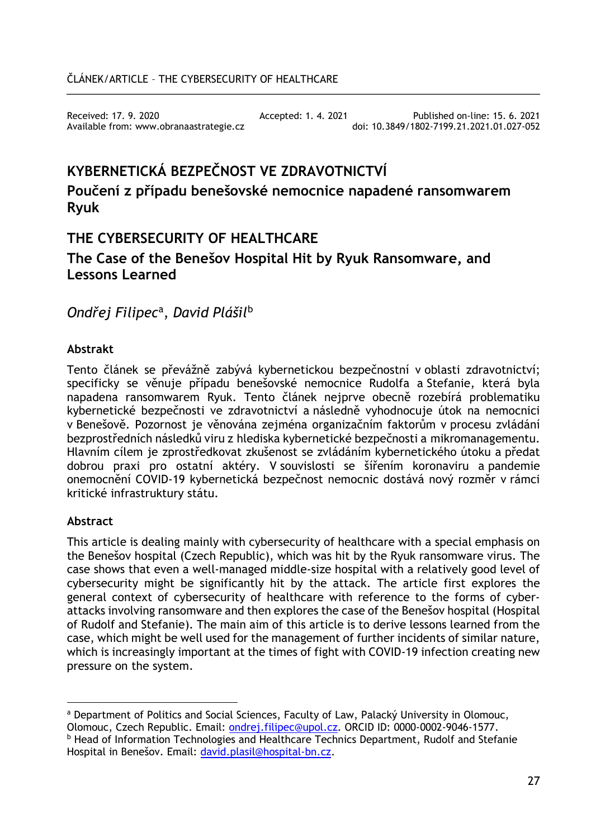Received: 17. 9. 2020 Accepted: 1. 4. 2021 Published on-line: 15. 6. 2021 Available from: www.obranaastrategie.cz

# **KYBERNETICKÁ BEZPEČNOST VE ZDRAVOTNICTVÍ**

# **Poučení z případu benešovské nemocnice napadené ransomwarem Ryuk**

# **THE CYBERSECURITY OF HEALTHCARE**

# **The Case of the Benešov Hospital Hit by Ryuk Ransomware, and Lessons Learned**

*Ondřej Filipec*[a](#page-0-0), *David Plášil*[b](#page-0-1)

# **Abstrakt**

Tento článek se převážně zabývá kybernetickou bezpečnostní v oblasti zdravotnictví; specificky se věnuje případu benešovské nemocnice Rudolfa a Stefanie, která byla napadena ransomwarem Ryuk. Tento článek nejprve obecně rozebírá problematiku kybernetické bezpečnosti ve zdravotnictví a následně vyhodnocuje útok na nemocnici v Benešově. Pozornost je věnována zejména organizačním faktorům v procesu zvládání bezprostředních následků viru z hlediska kybernetické bezpečnosti a mikromanagementu. Hlavním cílem je zprostředkovat zkušenost se zvládáním kybernetického útoku a předat dobrou praxi pro ostatní aktéry. V souvislosti se šířením koronaviru a pandemie onemocnění COVID-19 kybernetická bezpečnost nemocnic dostává nový rozměr v rámci kritické infrastruktury státu.

# **Abstract**

This article is dealing mainly with cybersecurity of healthcare with a special emphasis on the Benešov hospital (Czech Republic), which was hit by the Ryuk ransomware virus. The case shows that even a well-managed middle-size hospital with a relatively good level of cybersecurity might be significantly hit by the attack. The article first explores the general context of cybersecurity of healthcare with reference to the forms of cyberattacks involving ransomware and then explores the case of the Benešov hospital (Hospital of Rudolf and Stefanie). The main aim of this article is to derive lessons learned from the case, which might be well used for the management of further incidents of similar nature, which is increasingly important at the times of fight with COVID-19 infection creating new pressure on the system.

<span id="page-0-0"></span> $\overline{a}$ a Department of Politics and Social Sciences, Faculty of Law, Palacký University in Olomouc, Olomouc, Czech Republic. Email: [ondrej.filipec@upol.cz.](mailto:ondrej.filipec@upol.cz) ORCID ID: 0000-0002-9046-1577.

<span id="page-0-1"></span>**b Head of Information Technologies and Healthcare Technics Department, Rudolf and Stefanie** Hospital in Benešov. Email: [david.plasil@hospital](mailto:david.plasil@hospital-bn.cz)-bn.cz.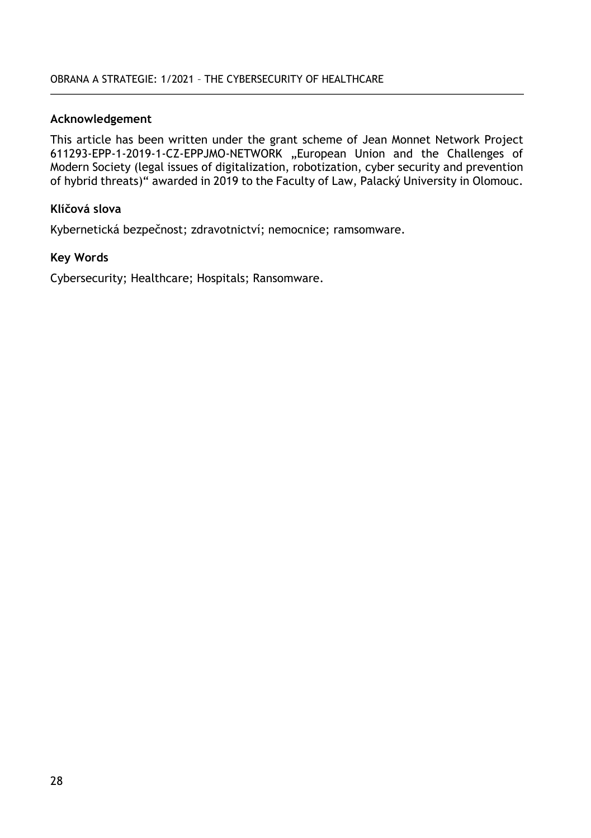#### **Acknowledgement**

This article has been written under the grant scheme of Jean Monnet Network Project 611293-EPP-1-2019-1-CZ-EPPJMO-NETWORK "European Union and the Challenges of Modern Society (legal issues of digitalization, robotization, cyber security and prevention of hybrid threats)" awarded in 2019 to the Faculty of Law, Palacký University in Olomouc.

### **Klíčová slova**

Kybernetická bezpečnost; zdravotnictví; nemocnice; ramsomware.

#### **Key Words**

Cybersecurity; Healthcare; Hospitals; Ransomware.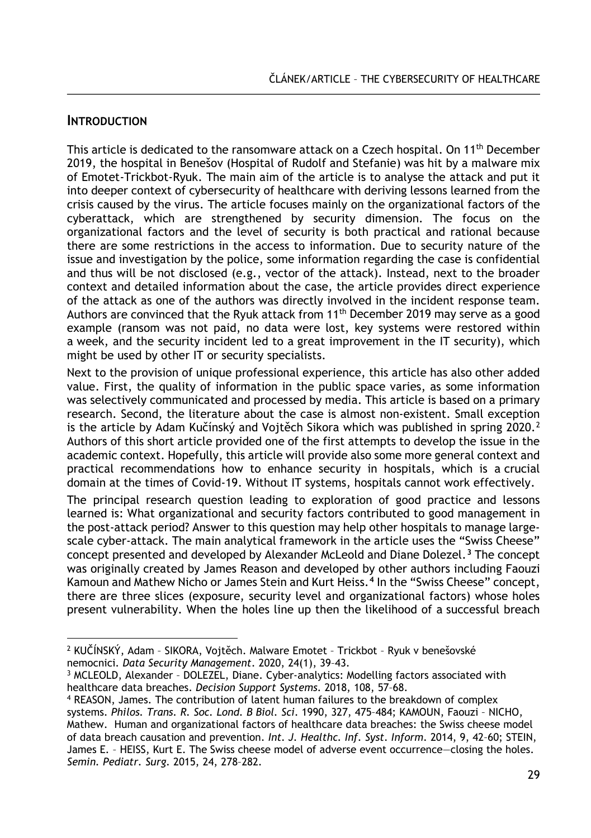# **INTRODUCTION**

This article is dedicated to the ransomware attack on a Czech hospital. On 11th December 2019, the hospital in Benešov (Hospital of Rudolf and Stefanie) was hit by a malware mix of Emotet-Trickbot-Ryuk. The main aim of the article is to analyse the attack and put it into deeper context of cybersecurity of healthcare with deriving lessons learned from the crisis caused by the virus. The article focuses mainly on the organizational factors of the cyberattack, which are strengthened by security dimension. The focus on the organizational factors and the level of security is both practical and rational because there are some restrictions in the access to information. Due to security nature of the issue and investigation by the police, some information regarding the case is confidential and thus will be not disclosed (e.g., vector of the attack). Instead, next to the broader context and detailed information about the case, the article provides direct experience of the attack as one of the authors was directly involved in the incident response team. Authors are convinced that the Ryuk attack from  $11<sup>th</sup>$  December 2019 may serve as a good example (ransom was not paid, no data were lost, key systems were restored within a week, and the security incident led to a great improvement in the IT security), which might be used by other IT or security specialists.

Next to the provision of unique professional experience, this article has also other added value. First, the quality of information in the public space varies, as some information was selectively communicated and processed by media. This article is based on a primary research. Second, the literature about the case is almost non-existent. Small exception is the article by Adam Kučínský and Vojtěch Sikora which was published in spring  $2020<sup>2</sup>$  $2020<sup>2</sup>$ Authors of this short article provided one of the first attempts to develop the issue in the academic context. Hopefully, this article will provide also some more general context and practical recommendations how to enhance security in hospitals, which is a crucial domain at the times of Covid-19. Without IT systems, hospitals cannot work effectively.

The principal research question leading to exploration of good practice and lessons learned is: What organizational and security factors contributed to good management in the post-attack period? Answer to this question may help other hospitals to manage largescale cyber-attack. The main analytical framework in the article uses the "Swiss Cheese" concept presented and developed by Alexander McLeold and Diane Dolezel.**[3](#page-2-1)** The concept was originally created by James Reason and developed by other authors including Faouzi Kamoun and Mathew Nicho or James Stein and Kurt Heiss.**[4](#page-2-2)** In the "Swiss Cheese" concept, there are three slices (exposure, security level and organizational factors) whose holes present vulnerability. When the holes line up then the likelihood of a successful breach

<span id="page-2-0"></span> $\overline{a}$ <sup>2</sup> KUČÍNSKÝ, Adam – SIKORA, Vojtěch. Malware Emotet – Trickbot – Ryuk v benešovské nemocnici. *Data Security Management*. 2020, 24(1), 39–43.

<span id="page-2-1"></span><sup>3</sup> MCLEOLD, Alexander – DOLEZEL, Diane. Cyber-analytics: Modelling factors associated with healthcare data breaches. *Decision Support Systems*. 2018, 108, 57–68.

<span id="page-2-2"></span><sup>4</sup> REASON, James. The contribution of latent human failures to the breakdown of complex systems. *Philos. Trans. R. Soc. Lond. B Biol. Sci*. 1990, 327, 475–484; KAMOUN, Faouzi – NICHO, Mathew. Human and organizational factors of healthcare data breaches: the Swiss cheese model of data breach causation and prevention. *Int. J. Healthc. Inf. Syst. Inform*. 2014, 9, 42–60; STEIN, James E. – HEISS, Kurt E. The Swiss cheese model of adverse event occurrence—closing the holes. *Semin. Pediatr. Surg*. 2015, 24, 278–282.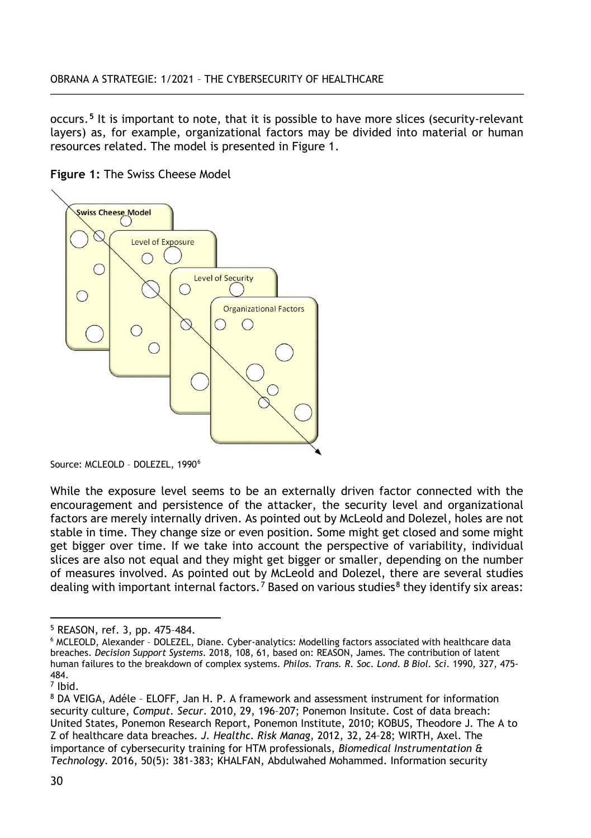occurs.**[5](#page-3-0)** It is important to note, that it is possible to have more slices (security-relevant layers) as, for example, organizational factors may be divided into material or human resources related. The model is presented in Figure 1.

**Figure 1:** The Swiss Cheese Model



Source: MCLEOLD - DOLEZEL, 1990<sup>[6](#page-3-1)</sup>

While the exposure level seems to be an externally driven factor connected with the encouragement and persistence of the attacker, the security level and organizational factors are merely internally driven. As pointed out by McLeold and Dolezel, holes are not stable in time. They change size or even position. Some might get closed and some might get bigger over time. If we take into account the perspective of variability, individual slices are also not equal and they might get bigger or smaller, depending on the number of measures involved. As pointed out by McLeold and Dolezel, there are several studies dealing with important internal factors.<sup>[7](#page-3-2)</sup> Based on various studies<sup>[8](#page-3-3)</sup> they identify six areas:

 $\overline{a}$ <sup>5</sup> REASON, ref. 3, pp. 475–484.

<span id="page-3-1"></span><span id="page-3-0"></span><sup>6</sup> MCLEOLD, Alexander – DOLEZEL, Diane. Cyber-analytics: Modelling factors associated with healthcare data breaches. *Decision Support Systems*. 2018, 108, 61, based on: REASON, James. The contribution of latent human failures to the breakdown of complex systems. *Philos. Trans. R. Soc. Lond. B Biol. Sci*. 1990, 327, 475- 484.

<span id="page-3-2"></span><sup>7</sup> Ibid.

<span id="page-3-3"></span><sup>8</sup> DA VEIGA, Adéle – ELOFF, Jan H. P. A framework and assessment instrument for information security culture, *Comput. Secur*. 2010, 29, 196–207; Ponemon Insitute. Cost of data breach: United States, Ponemon Research Report, Ponemon Institute, 2010; KOBUS, Theodore J. The A to Z of healthcare data breaches. *J. Healthc. Risk Manag*, 2012, 32, 24–28; WIRTH, Axel. The importance of cybersecurity training for HTM professionals, *Biomedical Instrumentation & Technology*. 2016, 50(5): 381-383; KHALFAN, Abdulwahed Mohammed. Information security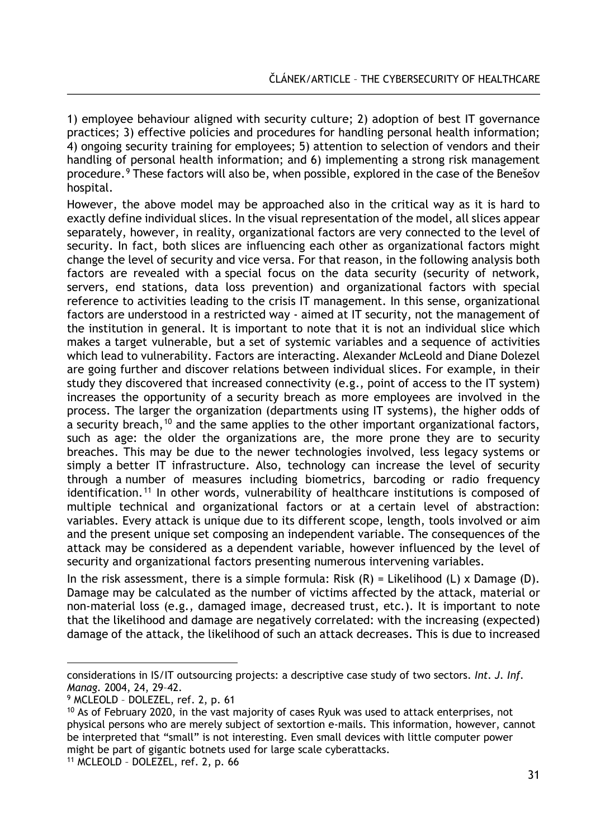1) employee behaviour aligned with security culture; 2) adoption of best IT governance practices; 3) effective policies and procedures for handling personal health information; 4) ongoing security training for employees; 5) attention to selection of vendors and their handling of personal health information; and 6) implementing a strong risk management procedure.[9](#page-4-0) These factors will also be, when possible, explored in the case of the Benešov hospital.

However, the above model may be approached also in the critical way as it is hard to exactly define individual slices. In the visual representation of the model, all slices appear separately, however, in reality, organizational factors are very connected to the level of security. In fact, both slices are influencing each other as organizational factors might change the level of security and vice versa. For that reason, in the following analysis both factors are revealed with a special focus on the data security (security of network, servers, end stations, data loss prevention) and organizational factors with special reference to activities leading to the crisis IT management. In this sense, organizational factors are understood in a restricted way - aimed at IT security, not the management of the institution in general. It is important to note that it is not an individual slice which makes a target vulnerable, but a set of systemic variables and a sequence of activities which lead to vulnerability. Factors are interacting. Alexander McLeold and Diane Dolezel are going further and discover relations between individual slices. For example, in their study they discovered that increased connectivity (e.g., point of access to the IT system) increases the opportunity of a security breach as more employees are involved in the process. The larger the organization (departments using IT systems), the higher odds of a security breach,<sup>[10](#page-4-1)</sup> and the same applies to the other important organizational factors, such as age: the older the organizations are, the more prone they are to security breaches. This may be due to the newer technologies involved, less legacy systems or simply a better IT infrastructure. Also, technology can increase the level of security through a number of measures including biometrics, barcoding or radio frequency identification.<sup>[11](#page-4-2)</sup> In other words, vulnerability of healthcare institutions is composed of multiple technical and organizational factors or at a certain level of abstraction: variables. Every attack is unique due to its different scope, length, tools involved or aim and the present unique set composing an independent variable. The consequences of the attack may be considered as a dependent variable, however influenced by the level of security and organizational factors presenting numerous intervening variables.

In the risk assessment, there is a simple formula: Risk  $(R)$  = Likelihood  $(L)$  x Damage  $(D)$ . Damage may be calculated as the number of victims affected by the attack, material or non-material loss (e.g., damaged image, decreased trust, etc.). It is important to note that the likelihood and damage are negatively correlated: with the increasing (expected) damage of the attack, the likelihood of such an attack decreases. This is due to increased

 $\overline{a}$ considerations in IS/IT outsourcing projects: a descriptive case study of two sectors. *Int. J. Inf. Manag.* 2004, 24, 29–42.

<span id="page-4-0"></span><sup>9</sup> MCLEOLD – DOLEZEL, ref. 2, p. 61

<span id="page-4-1"></span><sup>&</sup>lt;sup>10</sup> As of February 2020, in the vast majority of cases Ryuk was used to attack enterprises, not physical persons who are merely subject of sextortion e-mails. This information, however, cannot be interpreted that "small" is not interesting. Even small devices with little computer power might be part of gigantic botnets used for large scale cyberattacks.

<span id="page-4-2"></span><sup>11</sup> MCLEOLD – DOLEZEL, ref. 2, p. 66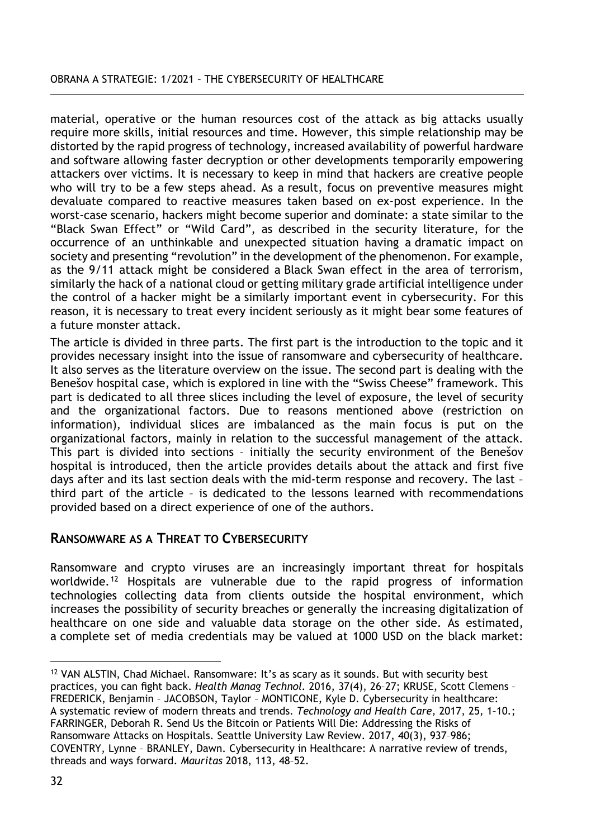material, operative or the human resources cost of the attack as big attacks usually require more skills, initial resources and time. However, this simple relationship may be distorted by the rapid progress of technology, increased availability of powerful hardware and software allowing faster decryption or other developments temporarily empowering attackers over victims. It is necessary to keep in mind that hackers are creative people who will try to be a few steps ahead. As a result, focus on preventive measures might devaluate compared to reactive measures taken based on ex-post experience. In the worst-case scenario, hackers might become superior and dominate: a state similar to the "Black Swan Effect" or "Wild Card", as described in the security literature, for the occurrence of an unthinkable and unexpected situation having a dramatic impact on society and presenting "revolution" in the development of the phenomenon. For example, as the 9/11 attack might be considered a Black Swan effect in the area of terrorism, similarly the hack of a national cloud or getting military grade artificial intelligence under the control of a hacker might be a similarly important event in cybersecurity. For this reason, it is necessary to treat every incident seriously as it might bear some features of a future monster attack.

The article is divided in three parts. The first part is the introduction to the topic and it provides necessary insight into the issue of ransomware and cybersecurity of healthcare. It also serves as the literature overview on the issue. The second part is dealing with the Benešov hospital case, which is explored in line with the "Swiss Cheese" framework. This part is dedicated to all three slices including the level of exposure, the level of security and the organizational factors. Due to reasons mentioned above (restriction on information), individual slices are imbalanced as the main focus is put on the organizational factors, mainly in relation to the successful management of the attack. This part is divided into sections – initially the security environment of the Benešov hospital is introduced, then the article provides details about the attack and first five days after and its last section deals with the mid-term response and recovery. The last – third part of the article – is dedicated to the lessons learned with recommendations provided based on a direct experience of one of the authors.

# **RANSOMWARE AS A THREAT TO CYBERSECURITY**

Ransomware and crypto viruses are an increasingly important threat for hospitals worldwide.[12](#page-5-0) Hospitals are vulnerable due to the rapid progress of information technologies collecting data from clients outside the hospital environment, which increases the possibility of security breaches or generally the increasing digitalization of healthcare on one side and valuable data storage on the other side. As estimated, a complete set of media credentials may be valued at 1000 USD on the black market:

 $\overline{a}$ 

<span id="page-5-0"></span> $12$  VAN ALSTIN, Chad Michael. Ransomware: It's as scary as it sounds. But with security best practices, you can fight back. *Health Manag Technol.* 2016, 37(4), 26–27; KRUSE, Scott Clemens – FREDERICK, Benjamin – JACOBSON, Taylor – MONTICONE, Kyle D. Cybersecurity in healthcare: A systematic review of modern threats and trends. *Technology and Health Care,* 2017, 25, 1–10.; FARRINGER, Deborah R. Send Us the Bitcoin or Patients Will Die: Addressing the Risks of Ransomware Attacks on Hospitals. Seattle University Law Review. 2017, 40(3), 937–986; COVENTRY, Lynne – BRANLEY, Dawn. Cybersecurity in Healthcare: A narrative review of trends, threads and ways forward. *Mauritas* 2018, 113, 48–52.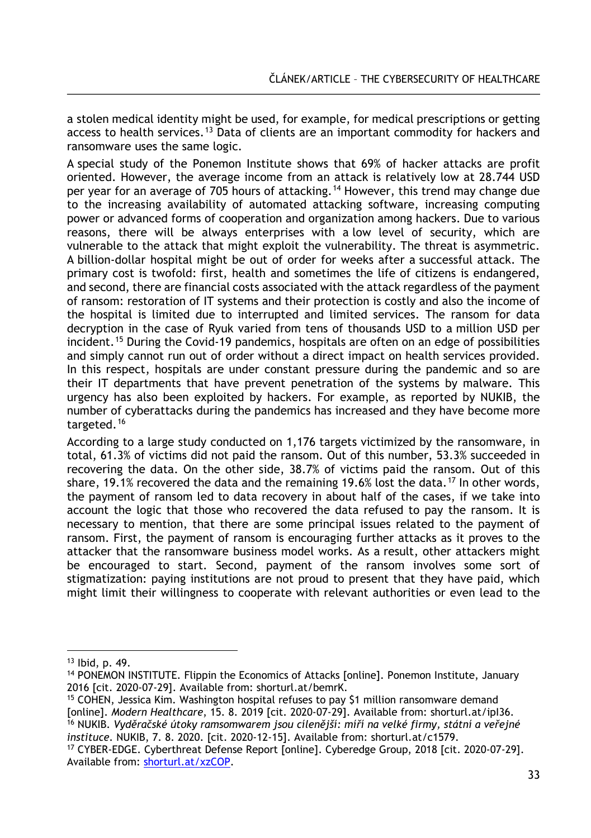a stolen medical identity might be used, for example, for medical prescriptions or getting access to health services.<sup>[13](#page-6-0)</sup> Data of clients are an important commodity for hackers and ransomware uses the same logic.

A special study of the Ponemon Institute shows that 69% of hacker attacks are profit oriented. However, the average income from an attack is relatively low at 28.744 USD per year for an average of 705 hours of attacking.<sup>[14](#page-6-1)</sup> However, this trend may change due to the increasing availability of automated attacking software, increasing computing power or advanced forms of cooperation and organization among hackers. Due to various reasons, there will be always enterprises with a low level of security, which are vulnerable to the attack that might exploit the vulnerability. The threat is asymmetric. A billion-dollar hospital might be out of order for weeks after a successful attack. The primary cost is twofold: first, health and sometimes the life of citizens is endangered, and second, there are financial costs associated with the attack regardless of the payment of ransom: restoration of IT systems and their protection is costly and also the income of the hospital is limited due to interrupted and limited services. The ransom for data decryption in the case of Ryuk varied from tens of thousands USD to a million USD per incident.<sup>[15](#page-6-2)</sup> During the Covid-19 pandemics, hospitals are often on an edge of possibilities and simply cannot run out of order without a direct impact on health services provided. In this respect, hospitals are under constant pressure during the pandemic and so are their IT departments that have prevent penetration of the systems by malware. This urgency has also been exploited by hackers. For example, as reported by NUKIB, the number of cyberattacks during the pandemics has increased and they have become more targeted.<sup>[16](#page-6-3)</sup>

According to a large study conducted on 1,176 targets victimized by the ransomware, in total, 61.3% of victims did not paid the ransom. Out of this number, 53.3% succeeded in recovering the data. On the other side, 38.7% of victims paid the ransom. Out of this share, 19.1% recovered the data and the remaining 19.6% lost the data.<sup>[17](#page-6-4)</sup> In other words, the payment of ransom led to data recovery in about half of the cases, if we take into account the logic that those who recovered the data refused to pay the ransom. It is necessary to mention, that there are some principal issues related to the payment of ransom. First, the payment of ransom is encouraging further attacks as it proves to the attacker that the ransomware business model works. As a result, other attackers might be encouraged to start. Second, payment of the ransom involves some sort of stigmatization: paying institutions are not proud to present that they have paid, which might limit their willingness to cooperate with relevant authorities or even lead to the

 $\overline{a}$ 

<span id="page-6-3"></span><sup>16</sup> NUKIB. *Vyděračské útoky ramsomwarem jsou cílenější: míří na velké firmy, státní a veřejné instituce*. NUKIB, 7. 8. 2020. [cit. 2020-12-15]. Available from: shorturl.at/c1579.

<span id="page-6-0"></span><sup>13</sup> Ibid, p. 49.

<span id="page-6-1"></span><sup>14</sup> PONEMON INSTITUTE. Flippin the Economics of Attacks [online]. Ponemon Institute, January 2016 [cit. 2020-07-29]. Available from: shorturl.at/bemrK.

<span id="page-6-2"></span><sup>&</sup>lt;sup>15</sup> COHEN, Jessica Kim. Washington hospital refuses to pay \$1 million ransomware demand [online]. *Modern Healthcare*, 15. 8. 2019 [cit. 2020-07-29]. Available from: shorturl.at/ipI36.

<span id="page-6-4"></span><sup>17</sup> CYBER-EDGE. Cyberthreat Defense Report [online]. Cyberedge Group, 2018 [cit. 2020-07-29]. Available from: [shorturl.at/xzCOP](https://unob.sharepoint.com/sites/Obranaastrategie/Sdilene%20dokumenty/Archiv/OaS%201-2021/Wordy/shorturl.at/xzCOP).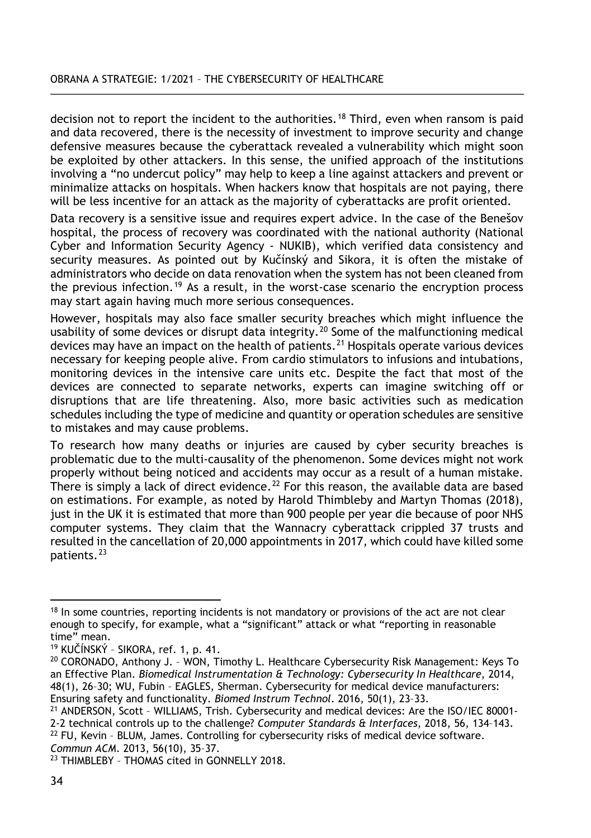#### OBRANA A STRATEGIE: 1/2021 – THE CYBERSECURITY OF HEALTHCARE

decision not to report the incident to the authorities.<sup>[18](#page-7-0)</sup> Third, even when ransom is paid and data recovered, there is the necessity of investment to improve security and change defensive measures because the cyberattack revealed a vulnerability which might soon be exploited by other attackers. In this sense, the unified approach of the institutions involving a "no undercut policy" may help to keep a line against attackers and prevent or minimalize attacks on hospitals. When hackers know that hospitals are not paying, there will be less incentive for an attack as the majority of cyberattacks are profit oriented.

Data recovery is a sensitive issue and requires expert advice. In the case of the Benešov hospital, the process of recovery was coordinated with the national authority (National Cyber and Information Security Agency - NUKIB), which verified data consistency and security measures. As pointed out by Kučínský and Sikora, it is often the mistake of administrators who decide on data renovation when the system has not been cleaned from the previous infection.[19](#page-7-1) As a result, in the worst-case scenario the encryption process may start again having much more serious consequences.

However, hospitals may also face smaller security breaches which might influence the usability of some devices or disrupt data integrity.[20](#page-7-2) Some of the malfunctioning medical devices may have an impact on the health of patients.[21](#page-7-3) Hospitals operate various devices necessary for keeping people alive. From cardio stimulators to infusions and intubations, monitoring devices in the intensive care units etc. Despite the fact that most of the devices are connected to separate networks, experts can imagine switching off or disruptions that are life threatening. Also, more basic activities such as medication schedules including the type of medicine and quantity or operation schedules are sensitive to mistakes and may cause problems.

To research how many deaths or injuries are caused by cyber security breaches is problematic due to the multi-causality of the phenomenon. Some devices might not work properly without being noticed and accidents may occur as a result of a human mistake. There is simply a lack of direct evidence.<sup>[22](#page-7-4)</sup> For this reason, the available data are based on estimations. For example, as noted by Harold Thimbleby and Martyn Thomas (2018), just in the UK it is estimated that more than 900 people per year die because of poor NHS computer systems. They claim that the Wannacry cyberattack crippled 37 trusts and resulted in the cancellation of 20,000 appointments in 2017, which could have killed some patients.[23](#page-7-5)

<span id="page-7-3"></span>2-2 technical controls up to the challenge? *Computer Standards & Interfaces*, 2018, 56, 134–143.

<span id="page-7-0"></span> $\overline{a}$ <sup>18</sup> In some countries, reporting incidents is not mandatory or provisions of the act are not clear enough to specify, for example, what a "significant" attack or what "reporting in reasonable time" mean.

<span id="page-7-1"></span><sup>19</sup> KUČÍNSKÝ – SIKORA, ref. 1, p. 41.

<span id="page-7-2"></span> $20$  CORONADO, Anthony J. - WON, Timothy L. Healthcare Cybersecurity Risk Management: Keys To an Effective Plan. *Biomedical Instrumentation & Technology: Cybersecurity In Healthcare*, 2014, 48(1), 26–30; WU, Fubin – EAGLES, Sherman. Cybersecurity for medical device manufacturers: Ensuring safety and functionality. *Biomed Instrum Technol*. 2016, 50(1), 23–33.

<sup>21</sup> ANDERSON, Scott – WILLIAMS, Trish. Cybersecurity and medical devices: Are the ISO/IEC 80001-

<span id="page-7-4"></span> $22$  FU, Kevin - BLUM, James. Controlling for cybersecurity risks of medical device software. *Commun ACM*. 2013, 56(10), 35–37.

<span id="page-7-5"></span><sup>23</sup> THIMBLEBY – THOMAS cited in GONNELLY 2018.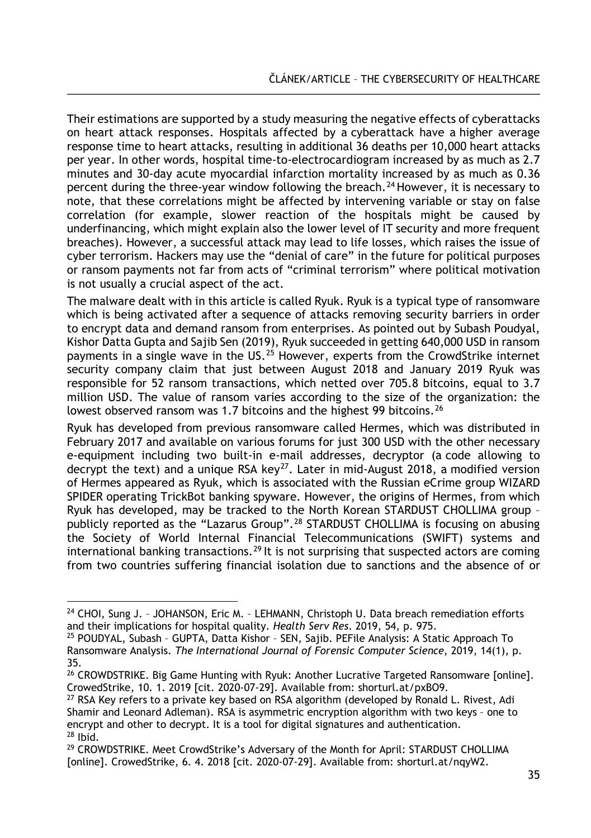Their estimations are supported by a study measuring the negative effects of cyberattacks on heart attack responses. Hospitals affected by a cyberattack have a higher average response time to heart attacks, resulting in additional 36 deaths per 10,000 heart attacks per year. In other words, hospital time-to-electrocardiogram increased by as much as 2.7 minutes and 30-day acute myocardial infarction mortality increased by as much as 0.36 percent during the three-year window following the breach.<sup>[24](#page-8-0)</sup> However, it is necessary to note, that these correlations might be affected by intervening variable or stay on false correlation (for example, slower reaction of the hospitals might be caused by underfinancing, which might explain also the lower level of IT security and more frequent breaches). However, a successful attack may lead to life losses, which raises the issue of cyber terrorism. Hackers may use the "denial of care" in the future for political purposes or ransom payments not far from acts of "criminal terrorism" where political motivation is not usually a crucial aspect of the act.

The malware dealt with in this article is called Ryuk. Ryuk is a typical type of ransomware which is being activated after a sequence of attacks removing security barriers in order to encrypt data and demand ransom from enterprises. As pointed out by Subash Poudyal, Kishor Datta Gupta and Sajib Sen (2019), Ryuk succeeded in getting 640,000 USD in ransom payments in a single wave in the US.<sup>[25](#page-8-1)</sup> However, experts from the CrowdStrike internet security company claim that just between August 2018 and January 2019 Ryuk was responsible for 52 ransom transactions, which netted over 705.8 bitcoins, equal to 3.7 million USD. The value of ransom varies according to the size of the organization: the lowest observed ransom was 1.7 bitcoins and the highest 99 bitcoins.<sup>[26](#page-8-2)</sup>

Ryuk has developed from previous ransomware called Hermes, which was distributed in February 2017 and available on various forums for just 300 USD with the other necessary e-equipment including two built-in e-mail addresses, decryptor (a code allowing to decrypt the text) and a unique RSA key<sup>[27](#page-8-3)</sup>. Later in mid-August 2018, a modified version of Hermes appeared as Ryuk, which is associated with the Russian eCrime group WIZARD SPIDER operating TrickBot banking spyware. However, the origins of Hermes, from which Ryuk has developed, may be tracked to the North Korean STARDUST CHOLLIMA group – publicly reported as the "Lazarus Group".[28](#page-8-4) STARDUST CHOLLIMA is focusing on abusing the Society of World Internal Financial Telecommunications (SWIFT) systems and international banking transactions.<sup>[29](#page-8-5)</sup> It is not surprising that suspected actors are coming from two countries suffering financial isolation due to sanctions and the absence of or

<span id="page-8-0"></span> $\overline{a}$ <sup>24</sup> CHOI, Sung J. - JOHANSON, Eric M. - LEHMANN, Christoph U. Data breach remediation efforts and their implications for hospital quality. *Health Serv Res*. 2019, 54, p. 975.

<span id="page-8-1"></span><sup>25</sup> POUDYAL, Subash – GUPTA, Datta Kishor – SEN, Sajib. PEFile Analysis: A Static Approach To Ransomware Analysis. *The International Journal of Forensic Computer Science*, 2019, 14(1), p. 35.

<span id="page-8-2"></span><sup>&</sup>lt;sup>26</sup> CROWDSTRIKE. Big Game Hunting with Ryuk: Another Lucrative Targeted Ransomware [online]. CrowedStrike, 10. 1. 2019 [cit. 2020-07-29]. Available from: shorturl.at/pxBO9.

<span id="page-8-3"></span> $27$  RSA Key refers to a private key based on RSA algorithm (developed by Ronald L. Rivest, Adi Shamir and Leonard Adleman). RSA is asymmetric encryption algorithm with two keys – one to encrypt and other to decrypt. It is a tool for digital signatures and authentication.  $28$  Ibid.

<span id="page-8-5"></span><span id="page-8-4"></span><sup>&</sup>lt;sup>29</sup> CROWDSTRIKE. Meet CrowdStrike's Adversary of the Month for April: STARDUST CHOLLIMA [online]. CrowedStrike, 6. 4. 2018 [cit. 2020-07-29]. Available from: shorturl.at/nqyW2.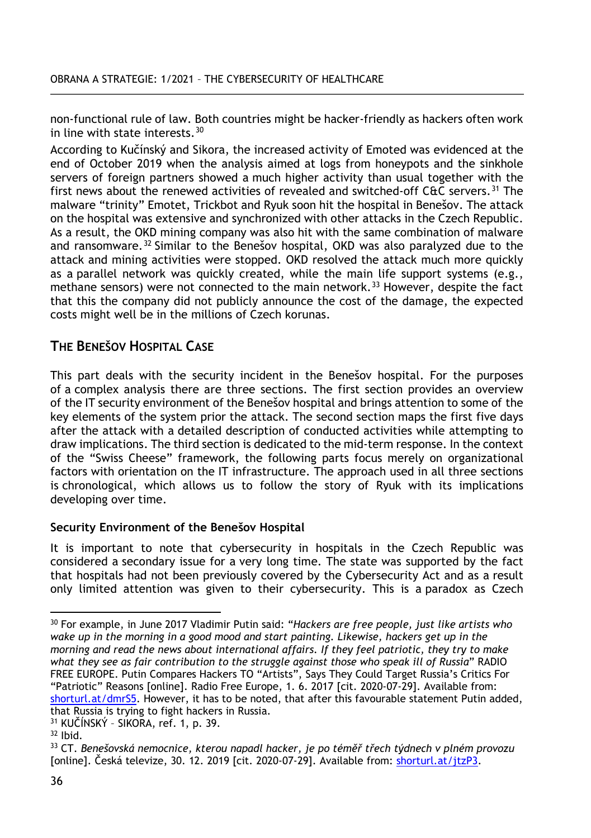non-functional rule of law. Both countries might be hacker-friendly as hackers often work in line with state interests.[30](#page-9-0)

According to Kučínský and Sikora, the increased activity of Emoted was evidenced at the end of October 2019 when the analysis aimed at logs from honeypots and the sinkhole servers of foreign partners showed a much higher activity than usual together with the first news about the renewed activities of revealed and switched-off C&C servers.[31](#page-9-1) The malware "trinity" Emotet, Trickbot and Ryuk soon hit the hospital in Benešov. The attack on the hospital was extensive and synchronized with other attacks in the Czech Republic. As a result, the OKD mining company was also hit with the same combination of malware and ransomware.<sup>[32](#page-9-2)</sup> Similar to the Benešov hospital, OKD was also paralyzed due to the attack and mining activities were stopped. OKD resolved the attack much more quickly as a parallel network was quickly created, while the main life support systems (e.g., methane sensors) were not connected to the main network.<sup>[33](#page-9-3)</sup> However, despite the fact that this the company did not publicly announce the cost of the damage, the expected costs might well be in the millions of Czech korunas.

# **THE BENEŠOV HOSPITAL CASE**

This part deals with the security incident in the Benešov hospital. For the purposes of a complex analysis there are three sections. The first section provides an overview of the IT security environment of the Benešov hospital and brings attention to some of the key elements of the system prior the attack. The second section maps the first five days after the attack with a detailed description of conducted activities while attempting to draw implications. The third section is dedicated to the mid-term response. In the context of the "Swiss Cheese" framework, the following parts focus merely on organizational factors with orientation on the IT infrastructure. The approach used in all three sections is chronological, which allows us to follow the story of Ryuk with its implications developing over time.

### **Security Environment of the Benešov Hospital**

It is important to note that cybersecurity in hospitals in the Czech Republic was considered a secondary issue for a very long time. The state was supported by the fact that hospitals had not been previously covered by the Cybersecurity Act and as a result only limited attention was given to their cybersecurity. This is a paradox as Czech

<span id="page-9-0"></span> $\overline{a}$ <sup>30</sup> For example, in June 2017 Vladimir Putin said: "*Hackers are free people, just like artists who wake up in the morning in a good mood and start painting. Likewise, hackers get up in the morning and read the news about international affairs. If they feel patriotic, they try to make what they see as fair contribution to the struggle against those who speak ill of Russia*" RADIO FREE EUROPE. Putin Compares Hackers TO "Artists", Says They Could Target Russia's Critics For "Patriotic" Reasons [online]. Radio Free Europe, 1. 6. 2017 [cit. 2020-07-29]. Available from: [shorturl.at/dmrS5](https://www.rferl.org/a/russia-putin-patriotic-hackers-target-critics-not-state/28522639.html). However, it has to be noted, that after this favourable statement Putin added, that Russia is trying to fight hackers in Russia.

<span id="page-9-1"></span><sup>31</sup> KUČÍNSKÝ – SIKORA, ref. 1, p. 39.

<span id="page-9-2"></span> $32$  Ibid.

<span id="page-9-3"></span><sup>33</sup> CT. *Benešovská nemocnice, kterou napadl hacker, je po téměř třech týdnech v plném provozu* [online]. Česká televize, 30. 12. 2019 [cit. 2020-07-29]. Available from: [shorturl.at/jtzP3](https://ct24.ceskatelevize.cz/regiony/3016475-benesovska-nemocnice-kterou-napadl-hacker-je-po-temer-trech-tydnech-v-plnem-provozu).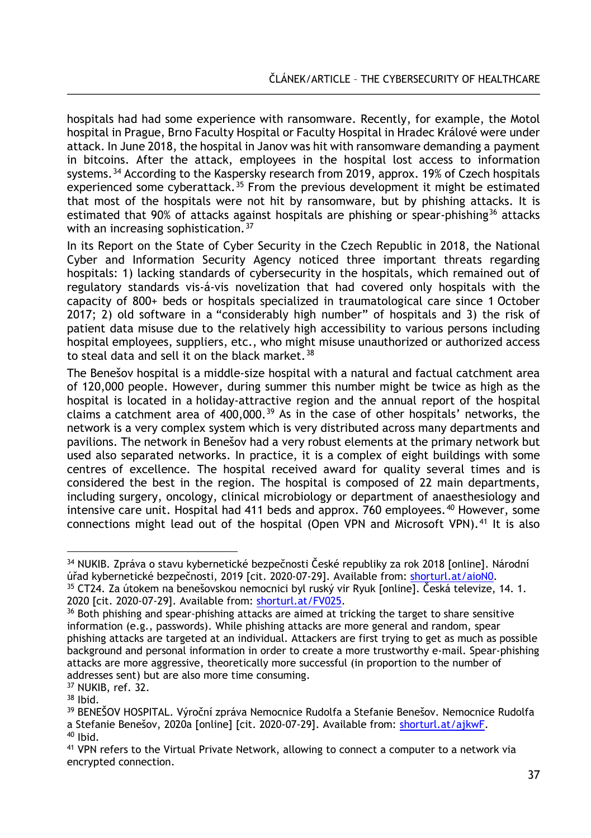hospitals had had some experience with ransomware. Recently, for example, the Motol hospital in Prague, Brno Faculty Hospital or Faculty Hospital in Hradec Králové were under attack. In June 2018, the hospital in Janov was hit with ransomware demanding a payment in bitcoins. After the attack, employees in the hospital lost access to information systems.<sup>[34](#page-10-0)</sup> According to the Kaspersky research from 2019, approx. 19% of Czech hospitals experienced some cyberattack.<sup>[35](#page-10-1)</sup> From the previous development it might be estimated that most of the hospitals were not hit by ransomware, but by phishing attacks. It is estimated that 90% of attacks against hospitals are phishing or spear-phishing<sup>[36](#page-10-2)</sup> attacks with an increasing sophistication.<sup>[37](#page-10-3)</sup>

In its Report on the State of Cyber Security in the Czech Republic in 2018, the National Cyber and Information Security Agency noticed three important threats regarding hospitals: 1) lacking standards of cybersecurity in the hospitals, which remained out of regulatory standards vis-á-vis novelization that had covered only hospitals with the capacity of 800+ beds or hospitals specialized in traumatological care since 1 October 2017; 2) old software in a "considerably high number" of hospitals and 3) the risk of patient data misuse due to the relatively high accessibility to various persons including hospital employees, suppliers, etc., who might misuse unauthorized or authorized access to steal data and sell it on the black market.  $38$ 

The Benešov hospital is a middle-size hospital with a natural and factual catchment area of 120,000 people. However, during summer this number might be twice as high as the hospital is located in a holiday-attractive region and the annual report of the hospital claims a catchment area of  $400,000$ .<sup>[39](#page-10-5)</sup> As in the case of other hospitals' networks, the network is a very complex system which is very distributed across many departments and pavilions. The network in Benešov had a very robust elements at the primary network but used also separated networks. In practice, it is a complex of eight buildings with some centres of excellence. The hospital received award for quality several times and is considered the best in the region. The hospital is composed of 22 main departments, including surgery, oncology, clinical microbiology or department of anaesthesiology and intensive care unit. Hospital had 411 beds and approx. 760 employees.  $40$  However, some connections might lead out of the hospital (Open VPN and Microsoft VPN).<sup>[41](#page-10-7)</sup> It is also

 $\overline{a}$ 

<span id="page-10-0"></span><sup>&</sup>lt;sup>34</sup> NUKIB. Zpráva o stavu kybernetické bezpečnosti České republiky za rok 2018 [online]. Národní úřad kybernetické bezpečnosti, 2019 [cit. 2020-07-29]. Available from: [shorturl.at/aioN0](https://nukib.cz/download/publikace/zpravy_o_stavu/zprava-o-stavu-kyberneticke-bezpecnosti-cr-2018-cz.pdf). <sup>35</sup> CT24. Za útokem na benešovskou nemocnici byl ruský vir Ryuk [online]. Česká televize, 14. 1. 2020 [cit. 2020-07-29]. Available from: [shorturl.at/FV025](https://ct24.ceskatelevize.cz/regiony/stredocesky-kraj/3029729-za-utokem-na-benesovskou-nemocnici-byl-rusky-vir-ryuk).

<span id="page-10-2"></span><span id="page-10-1"></span><sup>&</sup>lt;sup>36</sup> Both phishing and spear-phishing attacks are aimed at tricking the target to share sensitive information (e.g., passwords). While phishing attacks are more general and random, spear phishing attacks are targeted at an individual. Attackers are first trying to get as much as possible background and personal information in order to create a more trustworthy e-mail. Spear-phishing attacks are more aggressive, theoretically more successful (in proportion to the number of addresses sent) but are also more time consuming.

<span id="page-10-3"></span><sup>37</sup> NUKIB, ref. 32.

<span id="page-10-4"></span><sup>38</sup> Ibid.

<span id="page-10-5"></span><sup>39</sup> BENEŠOV HOSPITAL. Výroční zpráva Nemocnice Rudolfa a Stefanie Benešov. Nemocnice Rudolfa a Stefanie Benešov, 2020a [online] [cit. 2020-07-29]. Available from: [shorturl.at/ajkwF](https://www.hospital-bn.cz/wp-content/uploads/2020/05/V%c3%bdro%c4%8dn%c3%ad-zpr%c3%a1va-rok-2019.pdf).  $40$  Ibid.

<span id="page-10-7"></span><span id="page-10-6"></span><sup>41</sup> VPN refers to the Virtual Private Network, allowing to connect a computer to a network via encrypted connection.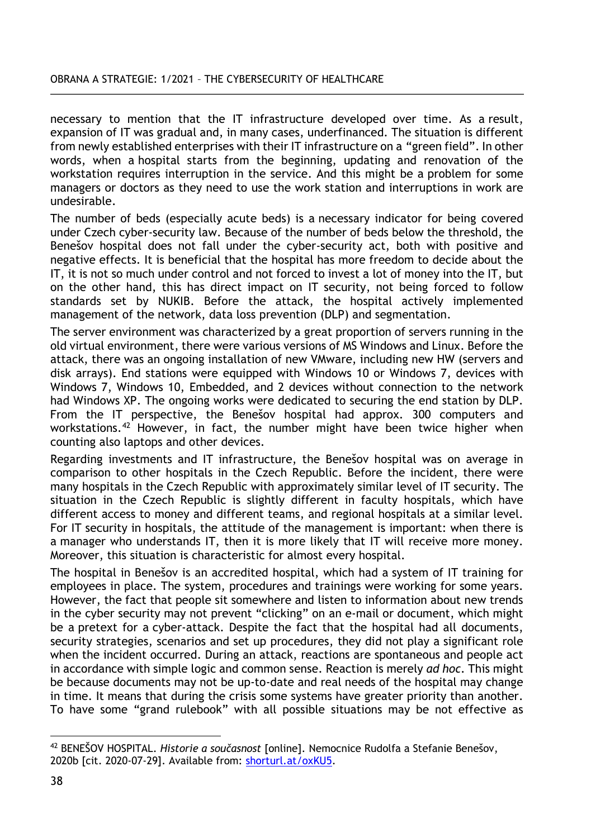necessary to mention that the IT infrastructure developed over time. As a result, expansion of IT was gradual and, in many cases, underfinanced. The situation is different from newly established enterprises with their IT infrastructure on a "green field". In other words, when a hospital starts from the beginning, updating and renovation of the workstation requires interruption in the service. And this might be a problem for some managers or doctors as they need to use the work station and interruptions in work are undesirable.

The number of beds (especially acute beds) is a necessary indicator for being covered under Czech cyber-security law. Because of the number of beds below the threshold, the Benešov hospital does not fall under the cyber-security act, both with positive and negative effects. It is beneficial that the hospital has more freedom to decide about the IT, it is not so much under control and not forced to invest a lot of money into the IT, but on the other hand, this has direct impact on IT security, not being forced to follow standards set by NUKIB. Before the attack, the hospital actively implemented management of the network, data loss prevention (DLP) and segmentation.

The server environment was characterized by a great proportion of servers running in the old virtual environment, there were various versions of MS Windows and Linux. Before the attack, there was an ongoing installation of new VMware, including new HW (servers and disk arrays). End stations were equipped with Windows 10 or Windows 7, devices with Windows 7, Windows 10, Embedded, and 2 devices without connection to the network had Windows XP. The ongoing works were dedicated to securing the end station by DLP. From the IT perspective, the Benešov hospital had approx. 300 computers and workstations.<sup>[42](#page-11-0)</sup> However, in fact, the number might have been twice higher when counting also laptops and other devices.

Regarding investments and IT infrastructure, the Benešov hospital was on average in comparison to other hospitals in the Czech Republic. Before the incident, there were many hospitals in the Czech Republic with approximately similar level of IT security. The situation in the Czech Republic is slightly different in faculty hospitals, which have different access to money and different teams, and regional hospitals at a similar level. For IT security in hospitals, the attitude of the management is important: when there is a manager who understands IT, then it is more likely that IT will receive more money. Moreover, this situation is characteristic for almost every hospital.

The hospital in Benešov is an accredited hospital, which had a system of IT training for employees in place. The system, procedures and trainings were working for some years. However, the fact that people sit somewhere and listen to information about new trends in the cyber security may not prevent "clicking" on an e-mail or document, which might be a pretext for a cyber-attack. Despite the fact that the hospital had all documents, security strategies, scenarios and set up procedures, they did not play a significant role when the incident occurred. During an attack, reactions are spontaneous and people act in accordance with simple logic and common sense. Reaction is merely *ad hoc*. This might be because documents may not be up-to-date and real needs of the hospital may change in time. It means that during the crisis some systems have greater priority than another. To have some "grand rulebook" with all possible situations may be not effective as

<span id="page-11-0"></span> $\overline{a}$ <sup>42</sup> BENEŠOV HOSPITAL. *Historie a současnost* [online]. Nemocnice Rudolfa a Stefanie Benešov, 2020b [cit. 2020-07-29]. Available from: [shorturl.at/oxKU5](https://www.hospital-bn.cz/o-nas/historie-a-soucasnost/).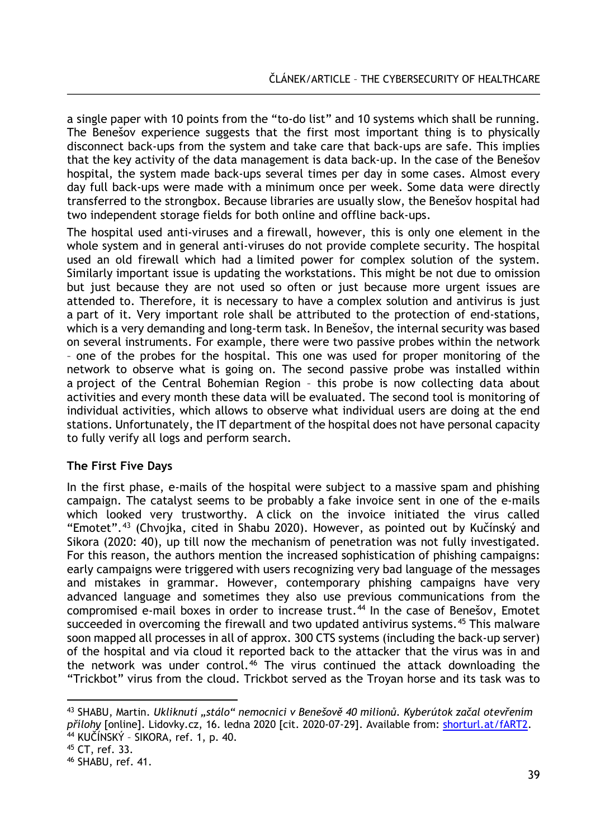a single paper with 10 points from the "to-do list" and 10 systems which shall be running. The Benešov experience suggests that the first most important thing is to physically disconnect back-ups from the system and take care that back-ups are safe. This implies that the key activity of the data management is data back-up. In the case of the Benešov hospital, the system made back-ups several times per day in some cases. Almost every day full back-ups were made with a minimum once per week. Some data were directly transferred to the strongbox. Because libraries are usually slow, the Benešov hospital had two independent storage fields for both online and offline back-ups.

The hospital used anti-viruses and a firewall, however, this is only one element in the whole system and in general anti-viruses do not provide complete security. The hospital used an old firewall which had a limited power for complex solution of the system. Similarly important issue is updating the workstations. This might be not due to omission but just because they are not used so often or just because more urgent issues are attended to. Therefore, it is necessary to have a complex solution and antivirus is just a part of it. Very important role shall be attributed to the protection of end-stations, which is a very demanding and long-term task. In Benešov, the internal security was based on several instruments. For example, there were two passive probes within the network – one of the probes for the hospital. This one was used for proper monitoring of the network to observe what is going on. The second passive probe was installed within a project of the Central Bohemian Region – this probe is now collecting data about activities and every month these data will be evaluated. The second tool is monitoring of individual activities, which allows to observe what individual users are doing at the end stations. Unfortunately, the IT department of the hospital does not have personal capacity to fully verify all logs and perform search.

# **The First Five Days**

In the first phase, e-mails of the hospital were subject to a massive spam and phishing campaign. The catalyst seems to be probably a fake invoice sent in one of the e-mails which looked very trustworthy. A click on the invoice initiated the virus called "Emotet".[43](#page-12-0) (Chvojka, cited in Shabu 2020). However, as pointed out by Kučínský and Sikora (2020: 40), up till now the mechanism of penetration was not fully investigated. For this reason, the authors mention the increased sophistication of phishing campaigns: early campaigns were triggered with users recognizing very bad language of the messages and mistakes in grammar. However, contemporary phishing campaigns have very advanced language and sometimes they also use previous communications from the compromised e-mail boxes in order to increase trust.<sup>[44](#page-12-1)</sup> In the case of Benešov, Emotet succeeded in overcoming the firewall and two updated antivirus systems.<sup>[45](#page-12-2)</sup> This malware soon mapped all processes in all of approx. 300 CTS systems (including the back-up server) of the hospital and via cloud it reported back to the attacker that the virus was in and the network was under control.<sup>[46](#page-12-3)</sup> The virus continued the attack downloading the "Trickbot" virus from the cloud. Trickbot served as the Troyan horse and its task was to

 $\overline{a}$ 

<span id="page-12-0"></span><sup>43</sup> SHABU, Martin. *Ukliknutí "stálo" nemocnici v Benešově 40 milionů. Kyberútok začal otevřením přílohy* [online]. Lidovky.cz, 16. ledna 2020 [cit. 2020-07-29]. Available from: [shorturl.at/fART2.](https://www.lidovky.cz/domov/ukliknuti-stalo-nemocnici-v-benesove-40-milionu-kyberutok-zacal-kliknutim-na-prilohu.A200115_201359_ln_domov_vlh) <sup>44</sup> KUČÍNSKÝ – SIKORA, ref. 1, p. 40.

<span id="page-12-2"></span><span id="page-12-1"></span><sup>45</sup> CT, ref. 33.

<span id="page-12-3"></span><sup>46</sup> SHABU, ref. 41.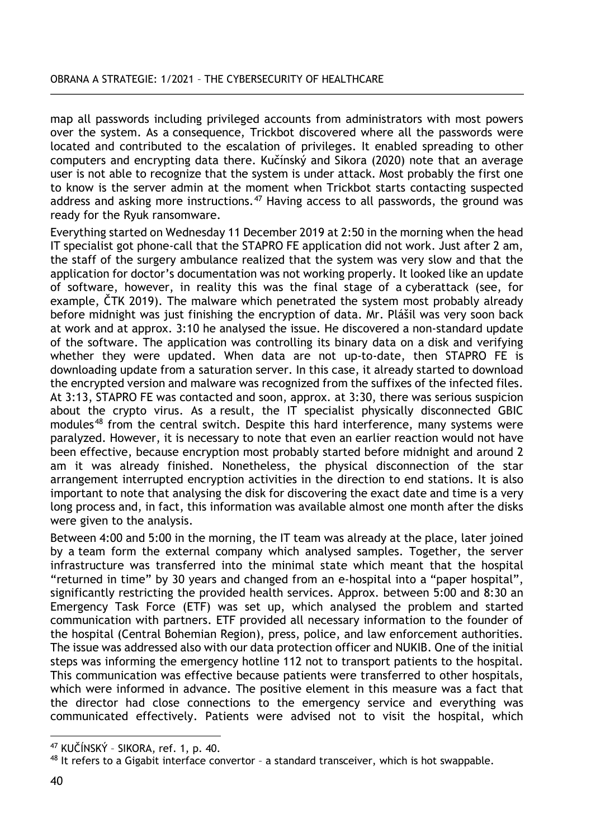map all passwords including privileged accounts from administrators with most powers over the system. As a consequence, Trickbot discovered where all the passwords were located and contributed to the escalation of privileges. It enabled spreading to other computers and encrypting data there. Kučínský and Sikora (2020) note that an average user is not able to recognize that the system is under attack. Most probably the first one to know is the server admin at the moment when Trickbot starts contacting suspected address and asking more instructions.<sup>[47](#page-13-0)</sup> Having access to all passwords, the ground was ready for the Ryuk ransomware.

Everything started on Wednesday 11 December 2019 at 2:50 in the morning when the head IT specialist got phone-call that the STAPRO FE application did not work. Just after 2 am, the staff of the surgery ambulance realized that the system was very slow and that the application for doctor's documentation was not working properly. It looked like an update of software, however, in reality this was the final stage of a cyberattack (see, for example, ČTK 2019). The malware which penetrated the system most probably already before midnight was just finishing the encryption of data. Mr. Plášil was very soon back at work and at approx. 3:10 he analysed the issue. He discovered a non-standard update of the software. The application was controlling its binary data on a disk and verifying whether they were updated. When data are not up-to-date, then STAPRO FE is downloading update from a saturation server. In this case, it already started to download the encrypted version and malware was recognized from the suffixes of the infected files. At 3:13, STAPRO FE was contacted and soon, approx. at 3:30, there was serious suspicion about the crypto virus. As a result, the IT specialist physically disconnected GBIC modules<sup>[48](#page-13-1)</sup> from the central switch. Despite this hard interference, many systems were paralyzed. However, it is necessary to note that even an earlier reaction would not have been effective, because encryption most probably started before midnight and around 2 am it was already finished. Nonetheless, the physical disconnection of the star arrangement interrupted encryption activities in the direction to end stations. It is also important to note that analysing the disk for discovering the exact date and time is a very long process and, in fact, this information was available almost one month after the disks were given to the analysis.

Between 4:00 and 5:00 in the morning, the IT team was already at the place, later joined by a team form the external company which analysed samples. Together, the server infrastructure was transferred into the minimal state which meant that the hospital "returned in time" by 30 years and changed from an e-hospital into a "paper hospital", significantly restricting the provided health services. Approx. between 5:00 and 8:30 an Emergency Task Force (ETF) was set up, which analysed the problem and started communication with partners. ETF provided all necessary information to the founder of the hospital (Central Bohemian Region), press, police, and law enforcement authorities. The issue was addressed also with our data protection officer and NUKIB. One of the initial steps was informing the emergency hotline 112 not to transport patients to the hospital. This communication was effective because patients were transferred to other hospitals, which were informed in advance. The positive element in this measure was a fact that the director had close connections to the emergency service and everything was communicated effectively. Patients were advised not to visit the hospital, which

 $\overline{a}$ <sup>47</sup> KUČÍNSKÝ – SIKORA, ref. 1, p. 40.

<span id="page-13-1"></span><span id="page-13-0"></span> $48$  It refers to a Gigabit interface convertor - a standard transceiver, which is hot swappable.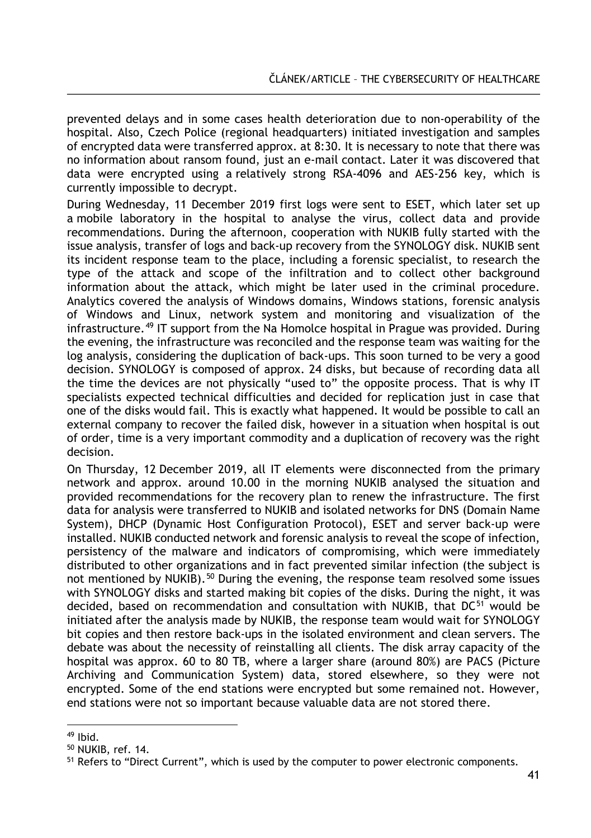prevented delays and in some cases health deterioration due to non-operability of the hospital. Also, Czech Police (regional headquarters) initiated investigation and samples of encrypted data were transferred approx. at 8:30. It is necessary to note that there was no information about ransom found, just an e-mail contact. Later it was discovered that data were encrypted using a relatively strong RSA-4096 and AES-256 key, which is currently impossible to decrypt.

During Wednesday, 11 December 2019 first logs were sent to ESET, which later set up a mobile laboratory in the hospital to analyse the virus, collect data and provide recommendations. During the afternoon, cooperation with NUKIB fully started with the issue analysis, transfer of logs and back-up recovery from the SYNOLOGY disk. NUKIB sent its incident response team to the place, including a forensic specialist, to research the type of the attack and scope of the infiltration and to collect other background information about the attack, which might be later used in the criminal procedure. Analytics covered the analysis of Windows domains, Windows stations, forensic analysis of Windows and Linux, network system and monitoring and visualization of the infrastructure.<sup>[49](#page-14-0)</sup> IT support from the Na Homolce hospital in Prague was provided. During the evening, the infrastructure was reconciled and the response team was waiting for the log analysis, considering the duplication of back-ups. This soon turned to be very a good decision. SYNOLOGY is composed of approx. 24 disks, but because of recording data all the time the devices are not physically "used to" the opposite process. That is why IT specialists expected technical difficulties and decided for replication just in case that one of the disks would fail. This is exactly what happened. It would be possible to call an external company to recover the failed disk, however in a situation when hospital is out of order, time is a very important commodity and a duplication of recovery was the right decision.

On Thursday, 12 December 2019, all IT elements were disconnected from the primary network and approx. around 10.00 in the morning NUKIB analysed the situation and provided recommendations for the recovery plan to renew the infrastructure. The first data for analysis were transferred to NUKIB and isolated networks for DNS (Domain Name System), DHCP (Dynamic Host Configuration Protocol), ESET and server back-up were installed. NUKIB conducted network and forensic analysis to reveal the scope of infection, persistency of the malware and indicators of compromising, which were immediately distributed to other organizations and in fact prevented similar infection (the subject is not mentioned by NUKIB).<sup>[50](#page-14-1)</sup> During the evening, the response team resolved some issues with SYNOLOGY disks and started making bit copies of the disks. During the night, it was decided, based on recommendation and consultation with NUKIB, that DC<sup>[51](#page-14-2)</sup> would be initiated after the analysis made by NUKIB, the response team would wait for SYNOLOGY bit copies and then restore back-ups in the isolated environment and clean servers. The debate was about the necessity of reinstalling all clients. The disk array capacity of the hospital was approx. 60 to 80 TB, where a larger share (around 80%) are PACS (Picture Archiving and Communication System) data, stored elsewhere, so they were not encrypted. Some of the end stations were encrypted but some remained not. However, end stations were not so important because valuable data are not stored there.

 $\overline{a}$  $49$  Ibid.

<span id="page-14-1"></span><span id="page-14-0"></span><sup>50</sup> NUKIB, ref. 14.

<span id="page-14-2"></span><sup>&</sup>lt;sup>51</sup> Refers to "Direct Current", which is used by the computer to power electronic components.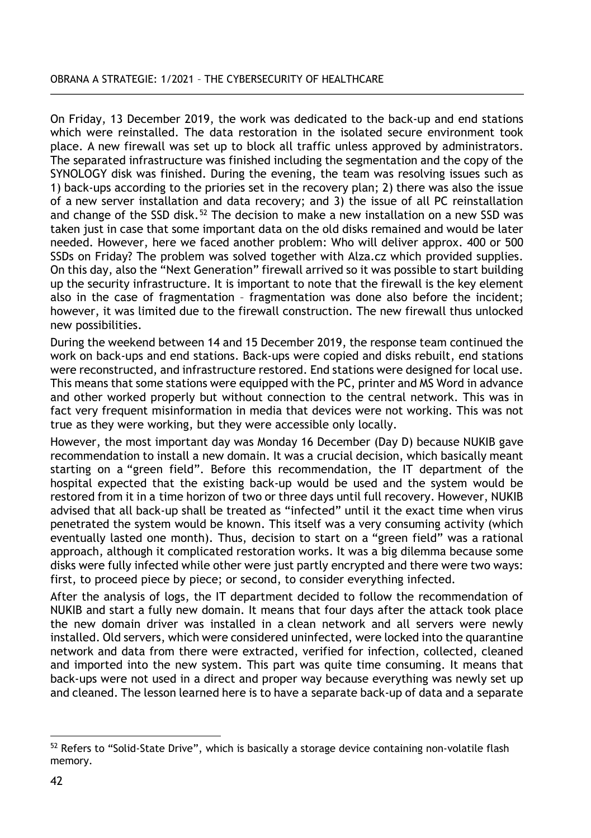On Friday, 13 December 2019, the work was dedicated to the back-up and end stations which were reinstalled. The data restoration in the isolated secure environment took place. A new firewall was set up to block all traffic unless approved by administrators. The separated infrastructure was finished including the segmentation and the copy of the SYNOLOGY disk was finished. During the evening, the team was resolving issues such as 1) back-ups according to the priories set in the recovery plan; 2) there was also the issue of a new server installation and data recovery; and 3) the issue of all PC reinstallation and change of the SSD disk.<sup>[52](#page-15-0)</sup> The decision to make a new installation on a new SSD was taken just in case that some important data on the old disks remained and would be later needed. However, here we faced another problem: Who will deliver approx. 400 or 500 SSDs on Friday? The problem was solved together with Alza.cz which provided supplies. On this day, also the "Next Generation" firewall arrived so it was possible to start building up the security infrastructure. It is important to note that the firewall is the key element also in the case of fragmentation – fragmentation was done also before the incident; however, it was limited due to the firewall construction. The new firewall thus unlocked new possibilities.

During the weekend between 14 and 15 December 2019, the response team continued the work on back-ups and end stations. Back-ups were copied and disks rebuilt, end stations were reconstructed, and infrastructure restored. End stations were designed for local use. This means that some stations were equipped with the PC, printer and MS Word in advance and other worked properly but without connection to the central network. This was in fact very frequent misinformation in media that devices were not working. This was not true as they were working, but they were accessible only locally.

However, the most important day was Monday 16 December (Day D) because NUKIB gave recommendation to install a new domain. It was a crucial decision, which basically meant starting on a "green field". Before this recommendation, the IT department of the hospital expected that the existing back-up would be used and the system would be restored from it in a time horizon of two or three days until full recovery. However, NUKIB advised that all back-up shall be treated as "infected" until it the exact time when virus penetrated the system would be known. This itself was a very consuming activity (which eventually lasted one month). Thus, decision to start on a "green field" was a rational approach, although it complicated restoration works. It was a big dilemma because some disks were fully infected while other were just partly encrypted and there were two ways: first, to proceed piece by piece; or second, to consider everything infected.

After the analysis of logs, the IT department decided to follow the recommendation of NUKIB and start a fully new domain. It means that four days after the attack took place the new domain driver was installed in a clean network and all servers were newly installed. Old servers, which were considered uninfected, were locked into the quarantine network and data from there were extracted, verified for infection, collected, cleaned and imported into the new system. This part was quite time consuming. It means that back-ups were not used in a direct and proper way because everything was newly set up and cleaned. The lesson learned here is to have a separate back-up of data and a separate

<span id="page-15-0"></span> $\overline{a}$ <sup>52</sup> Refers to "Solid-State Drive", which is basically a storage device containing non-volatile flash memory.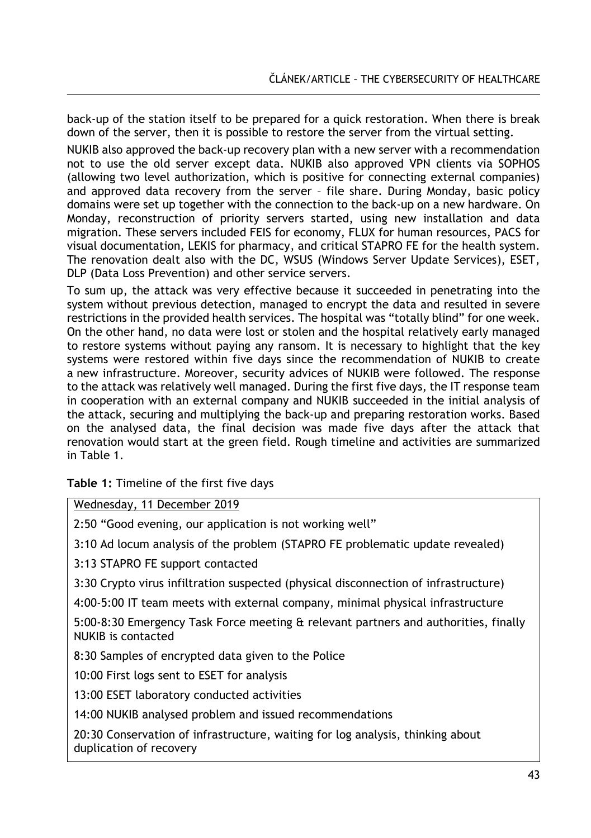back-up of the station itself to be prepared for a quick restoration. When there is break down of the server, then it is possible to restore the server from the virtual setting.

NUKIB also approved the back-up recovery plan with a new server with a recommendation not to use the old server except data. NUKIB also approved VPN clients via SOPHOS (allowing two level authorization, which is positive for connecting external companies) and approved data recovery from the server – file share. During Monday, basic policy domains were set up together with the connection to the back-up on a new hardware. On Monday, reconstruction of priority servers started, using new installation and data migration. These servers included FEIS for economy, FLUX for human resources, PACS for visual documentation, LEKIS for pharmacy, and critical STAPRO FE for the health system. The renovation dealt also with the DC, WSUS (Windows Server Update Services), ESET, DLP (Data Loss Prevention) and other service servers.

To sum up, the attack was very effective because it succeeded in penetrating into the system without previous detection, managed to encrypt the data and resulted in severe restrictions in the provided health services. The hospital was "totally blind" for one week. On the other hand, no data were lost or stolen and the hospital relatively early managed to restore systems without paying any ransom. It is necessary to highlight that the key systems were restored within five days since the recommendation of NUKIB to create a new infrastructure. Moreover, security advices of NUKIB were followed. The response to the attack was relatively well managed. During the first five days, the IT response team in cooperation with an external company and NUKIB succeeded in the initial analysis of the attack, securing and multiplying the back-up and preparing restoration works. Based on the analysed data, the final decision was made five days after the attack that renovation would start at the green field. Rough timeline and activities are summarized in Table 1.

**Table 1:** Timeline of the first five days

Wednesday, 11 December 2019

2:50 "Good evening, our application is not working well"

3:10 Ad locum analysis of the problem (STAPRO FE problematic update revealed)

3:13 STAPRO FE support contacted

3:30 Crypto virus infiltration suspected (physical disconnection of infrastructure)

4:00-5:00 IT team meets with external company, minimal physical infrastructure

5:00-8:30 Emergency Task Force meeting & relevant partners and authorities, finally NUKIB is contacted

8:30 Samples of encrypted data given to the Police

10:00 First logs sent to ESET for analysis

13:00 ESET laboratory conducted activities

14:00 NUKIB analysed problem and issued recommendations

20:30 Conservation of infrastructure, waiting for log analysis, thinking about duplication of recovery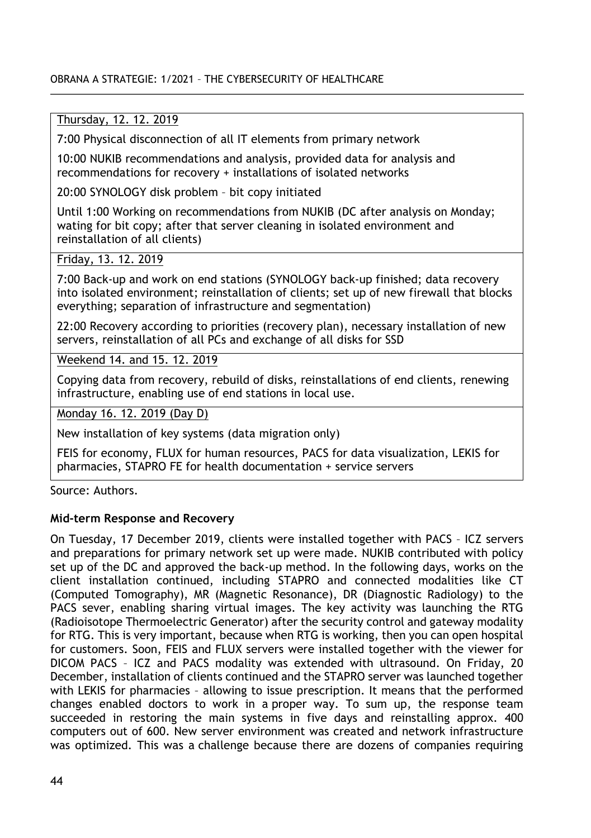### OBRANA A STRATEGIE: 1/2021 – THE CYBERSECURITY OF HEALTHCARE

# Thursday, 12. 12. 2019

7:00 Physical disconnection of all IT elements from primary network

10:00 NUKIB recommendations and analysis, provided data for analysis and recommendations for recovery + installations of isolated networks

20:00 SYNOLOGY disk problem – bit copy initiated

Until 1:00 Working on recommendations from NUKIB (DC after analysis on Monday; wating for bit copy; after that server cleaning in isolated environment and reinstallation of all clients)

# Friday, 13. 12. 2019

7:00 Back-up and work on end stations (SYNOLOGY back-up finished; data recovery into isolated environment; reinstallation of clients; set up of new firewall that blocks everything; separation of infrastructure and segmentation)

22:00 Recovery according to priorities (recovery plan), necessary installation of new servers, reinstallation of all PCs and exchange of all disks for SSD

Weekend 14. and 15. 12. 2019

Copying data from recovery, rebuild of disks, reinstallations of end clients, renewing infrastructure, enabling use of end stations in local use.

Monday 16. 12. 2019 (Day D)

New installation of key systems (data migration only)

FEIS for economy, FLUX for human resources, PACS for data visualization, LEKIS for pharmacies, STAPRO FE for health documentation + service servers

Source: Authors.

### **Mid-term Response and Recovery**

On Tuesday, 17 December 2019, clients were installed together with PACS – ICZ servers and preparations for primary network set up were made. NUKIB contributed with policy set up of the DC and approved the back-up method. In the following days, works on the client installation continued, including STAPRO and connected modalities like CT (Computed Tomography), MR (Magnetic Resonance), DR (Diagnostic Radiology) to the PACS sever, enabling sharing virtual images. The key activity was launching the RTG (Radioisotope Thermoelectric Generator) after the security control and gateway modality for RTG. This is very important, because when RTG is working, then you can open hospital for customers. Soon, FEIS and FLUX servers were installed together with the viewer for DICOM PACS – ICZ and PACS modality was extended with ultrasound. On Friday, 20 December, installation of clients continued and the STAPRO server was launched together with LEKIS for pharmacies – allowing to issue prescription. It means that the performed changes enabled doctors to work in a proper way. To sum up, the response team succeeded in restoring the main systems in five days and reinstalling approx. 400 computers out of 600. New server environment was created and network infrastructure was optimized. This was a challenge because there are dozens of companies requiring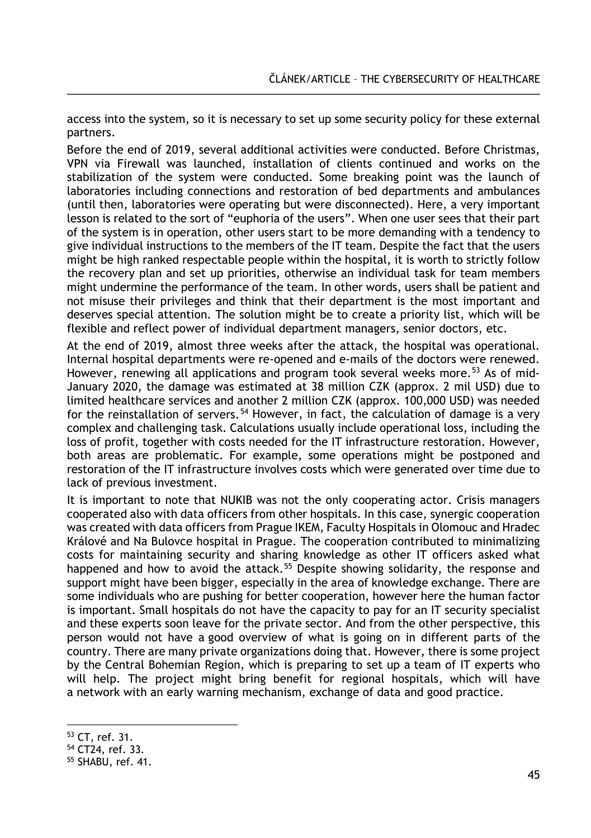access into the system, so it is necessary to set up some security policy for these external partners.

Before the end of 2019, several additional activities were conducted. Before Christmas, VPN via Firewall was launched, installation of clients continued and works on the stabilization of the system were conducted. Some breaking point was the launch of laboratories including connections and restoration of bed departments and ambulances (until then, laboratories were operating but were disconnected). Here, a very important lesson is related to the sort of "euphoria of the users". When one user sees that their part of the system is in operation, other users start to be more demanding with a tendency to give individual instructions to the members of the IT team. Despite the fact that the users might be high ranked respectable people within the hospital, it is worth to strictly follow the recovery plan and set up priorities, otherwise an individual task for team members might undermine the performance of the team. In other words, users shall be patient and not misuse their privileges and think that their department is the most important and deserves special attention. The solution might be to create a priority list, which will be flexible and reflect power of individual department managers, senior doctors, etc.

At the end of 2019, almost three weeks after the attack, the hospital was operational. Internal hospital departments were re-opened and e-mails of the doctors were renewed. However, renewing all applications and program took several weeks more.<sup>[53](#page-18-0)</sup> As of mid-January 2020, the damage was estimated at 38 million CZK (approx. 2 mil USD) due to limited healthcare services and another 2 million CZK (approx. 100,000 USD) was needed for the reinstallation of servers.<sup>[54](#page-18-1)</sup> However, in fact, the calculation of damage is a very complex and challenging task. Calculations usually include operational loss, including the loss of profit, together with costs needed for the IT infrastructure restoration. However, both areas are problematic. For example, some operations might be postponed and restoration of the IT infrastructure involves costs which were generated over time due to lack of previous investment.

It is important to note that NUKIB was not the only cooperating actor. Crisis managers cooperated also with data officers from other hospitals. In this case, synergic cooperation was created with data officers from Prague IKEM, Faculty Hospitals in Olomouc and Hradec Králové and Na Bulovce hospital in Prague. The cooperation contributed to minimalizing costs for maintaining security and sharing knowledge as other IT officers asked what happened and how to avoid the attack.<sup>[55](#page-18-2)</sup> Despite showing solidarity, the response and support might have been bigger, especially in the area of knowledge exchange. There are some individuals who are pushing for better cooperation, however here the human factor is important. Small hospitals do not have the capacity to pay for an IT security specialist and these experts soon leave for the private sector. And from the other perspective, this person would not have a good overview of what is going on in different parts of the country. There are many private organizations doing that. However, there is some project by the Central Bohemian Region, which is preparing to set up a team of IT experts who will help. The project might bring benefit for regional hospitals, which will have a network with an early warning mechanism, exchange of data and good practice.

 $\overline{a}$ <sup>53</sup> CT, ref. 31.

<span id="page-18-1"></span><span id="page-18-0"></span><sup>54</sup> CT24, ref. 33.

<span id="page-18-2"></span><sup>55</sup> SHABU, ref. 41.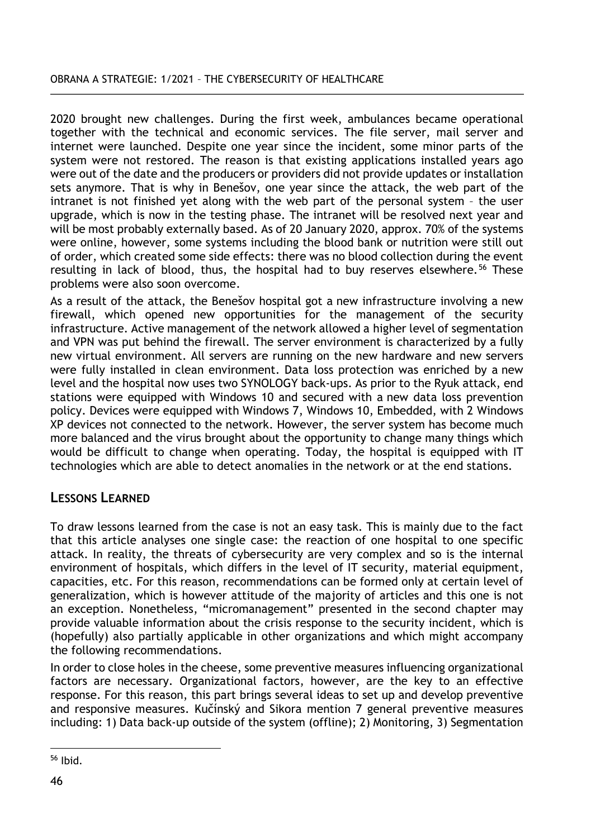### OBRANA A STRATEGIE: 1/2021 – THE CYBERSECURITY OF HEALTHCARE

2020 brought new challenges. During the first week, ambulances became operational together with the technical and economic services. The file server, mail server and internet were launched. Despite one year since the incident, some minor parts of the system were not restored. The reason is that existing applications installed years ago were out of the date and the producers or providers did not provide updates or installation sets anymore. That is why in Benešov, one year since the attack, the web part of the intranet is not finished yet along with the web part of the personal system – the user upgrade, which is now in the testing phase. The intranet will be resolved next year and will be most probably externally based. As of 20 January 2020, approx. 70% of the systems were online, however, some systems including the blood bank or nutrition were still out of order, which created some side effects: there was no blood collection during the event resulting in lack of blood, thus, the hospital had to buy reserves elsewhere.<sup>[56](#page-19-0)</sup> These problems were also soon overcome.

As a result of the attack, the Benešov hospital got a new infrastructure involving a new firewall, which opened new opportunities for the management of the security infrastructure. Active management of the network allowed a higher level of segmentation and VPN was put behind the firewall. The server environment is characterized by a fully new virtual environment. All servers are running on the new hardware and new servers were fully installed in clean environment. Data loss protection was enriched by a new level and the hospital now uses two SYNOLOGY back-ups. As prior to the Ryuk attack, end stations were equipped with Windows 10 and secured with a new data loss prevention policy. Devices were equipped with Windows 7, Windows 10, Embedded, with 2 Windows XP devices not connected to the network. However, the server system has become much more balanced and the virus brought about the opportunity to change many things which would be difficult to change when operating. Today, the hospital is equipped with IT technologies which are able to detect anomalies in the network or at the end stations.

# **LESSONS LEARNED**

To draw lessons learned from the case is not an easy task. This is mainly due to the fact that this article analyses one single case: the reaction of one hospital to one specific attack. In reality, the threats of cybersecurity are very complex and so is the internal environment of hospitals, which differs in the level of IT security, material equipment, capacities, etc. For this reason, recommendations can be formed only at certain level of generalization, which is however attitude of the majority of articles and this one is not an exception. Nonetheless, "micromanagement" presented in the second chapter may provide valuable information about the crisis response to the security incident, which is (hopefully) also partially applicable in other organizations and which might accompany the following recommendations.

In order to close holes in the cheese, some preventive measures influencing organizational factors are necessary. Organizational factors, however, are the key to an effective response. For this reason, this part brings several ideas to set up and develop preventive and responsive measures. Kučínský and Sikora mention 7 general preventive measures including: 1) Data back-up outside of the system (offline); 2) Monitoring, 3) Segmentation

<span id="page-19-0"></span> $\overline{a}$ <sup>56</sup> Ibid.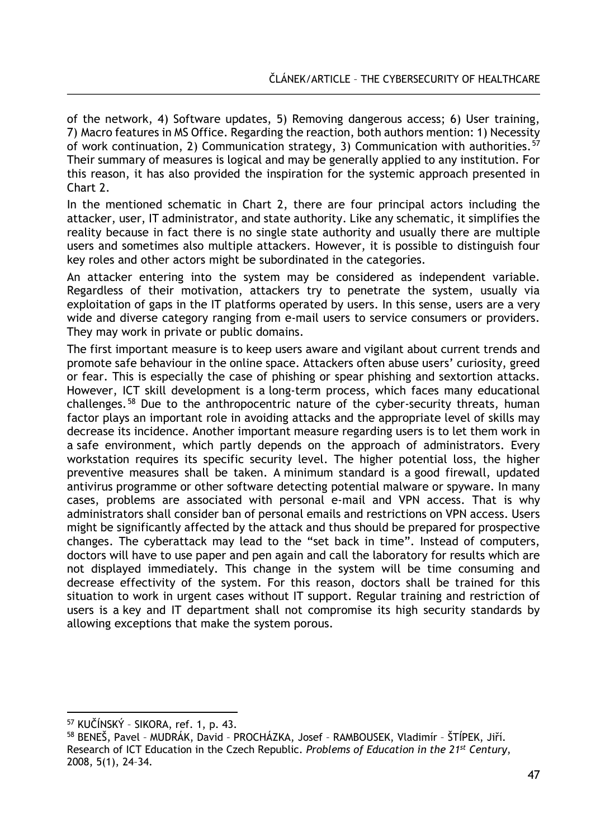of the network, 4) Software updates, 5) Removing dangerous access; 6) User training, 7) Macro features in MS Office. Regarding the reaction, both authors mention: 1) Necessity of work continuation, 2) Communication strategy, 3) Communication with authorities.[57](#page-20-0) Their summary of measures is logical and may be generally applied to any institution. For this reason, it has also provided the inspiration for the systemic approach presented in Chart 2.

In the mentioned schematic in Chart 2, there are four principal actors including the attacker, user, IT administrator, and state authority. Like any schematic, it simplifies the reality because in fact there is no single state authority and usually there are multiple users and sometimes also multiple attackers. However, it is possible to distinguish four key roles and other actors might be subordinated in the categories.

An attacker entering into the system may be considered as independent variable. Regardless of their motivation, attackers try to penetrate the system, usually via exploitation of gaps in the IT platforms operated by users. In this sense, users are a very wide and diverse category ranging from e-mail users to service consumers or providers. They may work in private or public domains.

The first important measure is to keep users aware and vigilant about current trends and promote safe behaviour in the online space. Attackers often abuse users' curiosity, greed or fear. This is especially the case of phishing or spear phishing and sextortion attacks. However, ICT skill development is a long-term process, which faces many educational challenges.<sup>[58](#page-20-1)</sup> Due to the anthropocentric nature of the cyber-security threats, human factor plays an important role in avoiding attacks and the appropriate level of skills may decrease its incidence. Another important measure regarding users is to let them work in a safe environment, which partly depends on the approach of administrators. Every workstation requires its specific security level. The higher potential loss, the higher preventive measures shall be taken. A minimum standard is a good firewall, updated antivirus programme or other software detecting potential malware or spyware. In many cases, problems are associated with personal e-mail and VPN access. That is why administrators shall consider ban of personal emails and restrictions on VPN access. Users might be significantly affected by the attack and thus should be prepared for prospective changes. The cyberattack may lead to the "set back in time". Instead of computers, doctors will have to use paper and pen again and call the laboratory for results which are not displayed immediately. This change in the system will be time consuming and decrease effectivity of the system. For this reason, doctors shall be trained for this situation to work in urgent cases without IT support. Regular training and restriction of users is a key and IT department shall not compromise its high security standards by allowing exceptions that make the system porous.

 $\overline{a}$ <sup>57</sup> KUČÍNSKÝ – SIKORA, ref. 1, p. 43.

<span id="page-20-1"></span><span id="page-20-0"></span><sup>58</sup> BENEŠ, Pavel – MUDRÁK, David – PROCHÁZKA, Josef – RAMBOUSEK, Vladimír – ŠTÍPEK, Jiří. Research of ICT Education in the Czech Republic. *Problems of Education in the 21st Century*, 2008, 5(1), 24–34.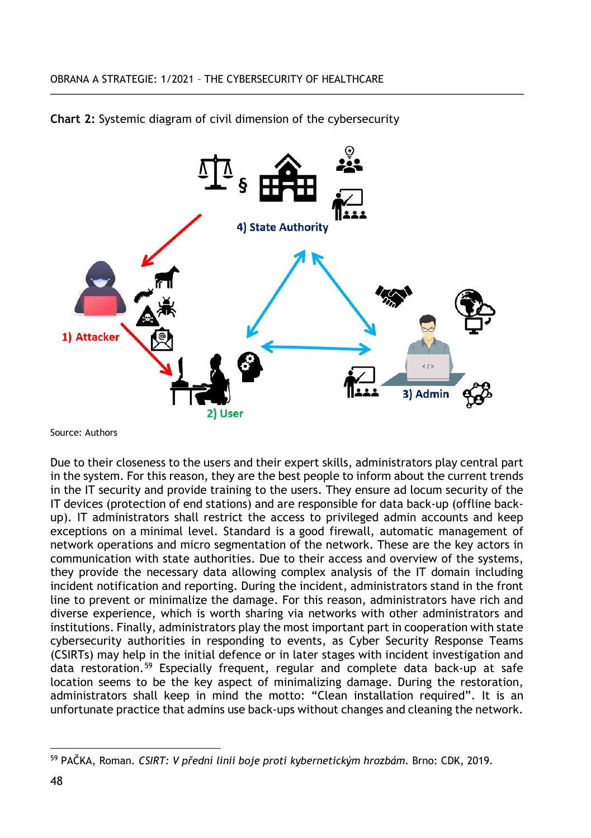



Source: Authors

Due to their closeness to the users and their expert skills, administrators play central part in the system. For this reason, they are the best people to inform about the current trends in the IT security and provide training to the users. They ensure ad locum security of the IT devices (protection of end stations) and are responsible for data back-up (offline backup). IT administrators shall restrict the access to privileged admin accounts and keep exceptions on a minimal level. Standard is a good firewall, automatic management of network operations and micro segmentation of the network. These are the key actors in communication with state authorities. Due to their access and overview of the systems, they provide the necessary data allowing complex analysis of the IT domain including incident notification and reporting. During the incident, administrators stand in the front line to prevent or minimalize the damage. For this reason, administrators have rich and diverse experience, which is worth sharing via networks with other administrators and institutions. Finally, administrators play the most important part in cooperation with state cybersecurity authorities in responding to events, as Cyber Security Response Teams (CSIRTs) may help in the initial defence or in later stages with incident investigation and data restoration.[59](#page-21-0) Especially frequent, regular and complete data back-up at safe location seems to be the key aspect of minimalizing damage. During the restoration, administrators shall keep in mind the motto: "Clean installation required". It is an unfortunate practice that admins use back-ups without changes and cleaning the network.

<span id="page-21-0"></span> $\overline{a}$ <sup>59</sup> PAČKA, Roman. *CSIRT: V přední linii boje proti kybernetickým hrozbám*. Brno: CDK, 2019.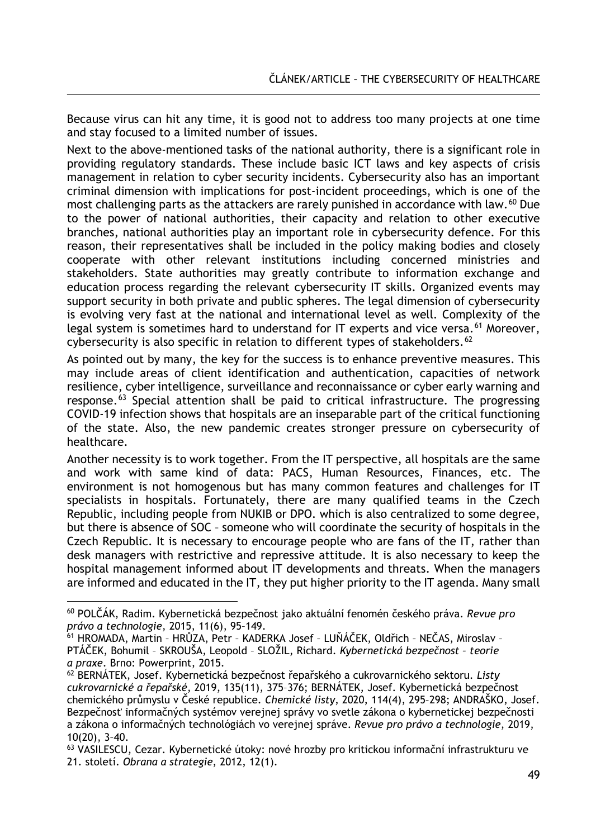Because virus can hit any time, it is good not to address too many projects at one time and stay focused to a limited number of issues.

Next to the above-mentioned tasks of the national authority, there is a significant role in providing regulatory standards. These include basic ICT laws and key aspects of crisis management in relation to cyber security incidents. Cybersecurity also has an important criminal dimension with implications for post-incident proceedings, which is one of the most challenging parts as the attackers are rarely punished in accordance with law.<sup>[60](#page-22-0)</sup> Due to the power of national authorities, their capacity and relation to other executive branches, national authorities play an important role in cybersecurity defence. For this reason, their representatives shall be included in the policy making bodies and closely cooperate with other relevant institutions including concerned ministries and stakeholders. State authorities may greatly contribute to information exchange and education process regarding the relevant cybersecurity IT skills. Organized events may support security in both private and public spheres. The legal dimension of cybersecurity is evolving very fast at the national and international level as well. Complexity of the legal system is sometimes hard to understand for IT experts and vice versa.<sup>[61](#page-22-1)</sup> Moreover, cybersecurity is also specific in relation to different types of stakeholders.<sup>[62](#page-22-2)</sup>

As pointed out by many, the key for the success is to enhance preventive measures. This may include areas of client identification and authentication, capacities of network resilience, cyber intelligence, surveillance and reconnaissance or cyber early warning and response.[63](#page-22-3) Special attention shall be paid to critical infrastructure. The progressing COVID-19 infection shows that hospitals are an inseparable part of the critical functioning of the state. Also, the new pandemic creates stronger pressure on cybersecurity of healthcare.

Another necessity is to work together. From the IT perspective, all hospitals are the same and work with same kind of data: PACS, Human Resources, Finances, etc. The environment is not homogenous but has many common features and challenges for IT specialists in hospitals. Fortunately, there are many qualified teams in the Czech Republic, including people from NUKIB or DPO. which is also centralized to some degree, but there is absence of SOC – someone who will coordinate the security of hospitals in the Czech Republic. It is necessary to encourage people who are fans of the IT, rather than desk managers with restrictive and repressive attitude. It is also necessary to keep the hospital management informed about IT developments and threats. When the managers are informed and educated in the IT, they put higher priority to the IT agenda. Many small

 $\overline{a}$ 

<span id="page-22-0"></span><sup>60</sup> POLČÁK, Radim. Kybernetická bezpečnost jako aktuální fenomén českého práva. *Revue pro právo a technologie*, 2015, 11(6), 95–149.

<span id="page-22-1"></span><sup>61</sup> HROMADA, Martin – HRŮZA, Petr – KADERKA Josef – LUŇÁČEK, Oldřich – NEČAS, Miroslav – PTÁČEK, Bohumil – SKROUŠA, Leopold – SLOŽIL, Richard. *Kybernetická bezpečnost – teorie a praxe*. Brno: Powerprint, 2015.

<span id="page-22-2"></span><sup>62</sup> BERNÁTEK, Josef. Kybernetická bezpečnost řepařského a cukrovarnického sektoru. *Listy cukrovarnické a řepařské*, 2019, 135(11), 375–376; BERNÁTEK, Josef. Kybernetická bezpečnost chemického průmyslu v České republice. *Chemické listy*, 2020, 114(4), 295–298; ANDRAŠKO, Josef. Bezpečnosť informačných systémov verejnej správy vo svetle zákona o kybernetickej bezpečnosti a zákona o informačných technológiách vo verejnej správe. *Revue pro právo a technologie*, 2019, 10(20), 3–40.

<span id="page-22-3"></span><sup>63</sup> VASILESCU, Cezar. Kybernetické útoky: nové hrozby pro kritickou informační infrastrukturu ve 21. století. *Obrana a strategie*, 2012, 12(1).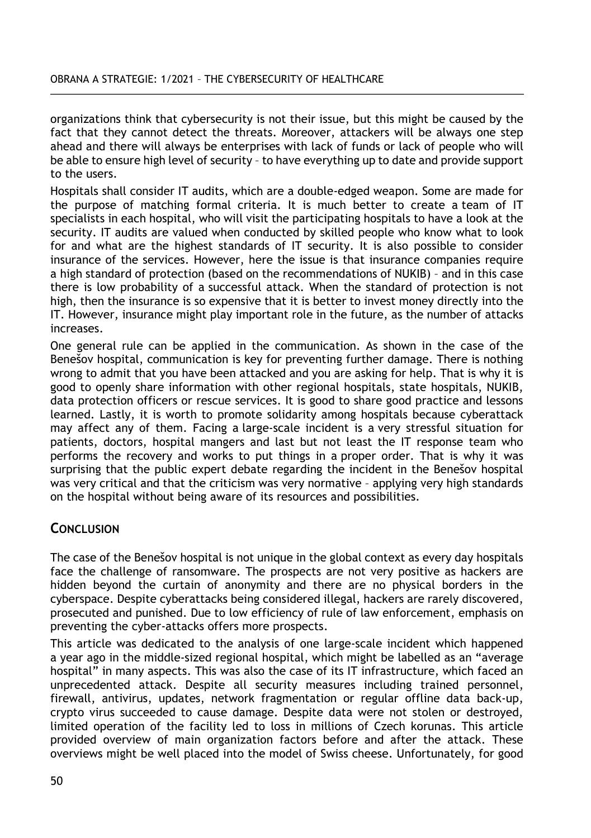organizations think that cybersecurity is not their issue, but this might be caused by the fact that they cannot detect the threats. Moreover, attackers will be always one step ahead and there will always be enterprises with lack of funds or lack of people who will be able to ensure high level of security – to have everything up to date and provide support to the users.

Hospitals shall consider IT audits, which are a double-edged weapon. Some are made for the purpose of matching formal criteria. It is much better to create a team of IT specialists in each hospital, who will visit the participating hospitals to have a look at the security. IT audits are valued when conducted by skilled people who know what to look for and what are the highest standards of IT security. It is also possible to consider insurance of the services. However, here the issue is that insurance companies require a high standard of protection (based on the recommendations of NUKIB) – and in this case there is low probability of a successful attack. When the standard of protection is not high, then the insurance is so expensive that it is better to invest money directly into the IT. However, insurance might play important role in the future, as the number of attacks increases.

One general rule can be applied in the communication. As shown in the case of the Benešov hospital, communication is key for preventing further damage. There is nothing wrong to admit that you have been attacked and you are asking for help. That is why it is good to openly share information with other regional hospitals, state hospitals, NUKIB, data protection officers or rescue services. It is good to share good practice and lessons learned. Lastly, it is worth to promote solidarity among hospitals because cyberattack may affect any of them. Facing a large-scale incident is a very stressful situation for patients, doctors, hospital mangers and last but not least the IT response team who performs the recovery and works to put things in a proper order. That is why it was surprising that the public expert debate regarding the incident in the Benešov hospital was very critical and that the criticism was very normative – applying very high standards on the hospital without being aware of its resources and possibilities.

# **CONCLUSION**

The case of the Benešov hospital is not unique in the global context as every day hospitals face the challenge of ransomware. The prospects are not very positive as hackers are hidden beyond the curtain of anonymity and there are no physical borders in the cyberspace. Despite cyberattacks being considered illegal, hackers are rarely discovered, prosecuted and punished. Due to low efficiency of rule of law enforcement, emphasis on preventing the cyber-attacks offers more prospects.

This article was dedicated to the analysis of one large-scale incident which happened a year ago in the middle-sized regional hospital, which might be labelled as an "average hospital" in many aspects. This was also the case of its IT infrastructure, which faced an unprecedented attack. Despite all security measures including trained personnel, firewall, antivirus, updates, network fragmentation or regular offline data back-up, crypto virus succeeded to cause damage. Despite data were not stolen or destroyed, limited operation of the facility led to loss in millions of Czech korunas. This article provided overview of main organization factors before and after the attack. These overviews might be well placed into the model of Swiss cheese. Unfortunately, for good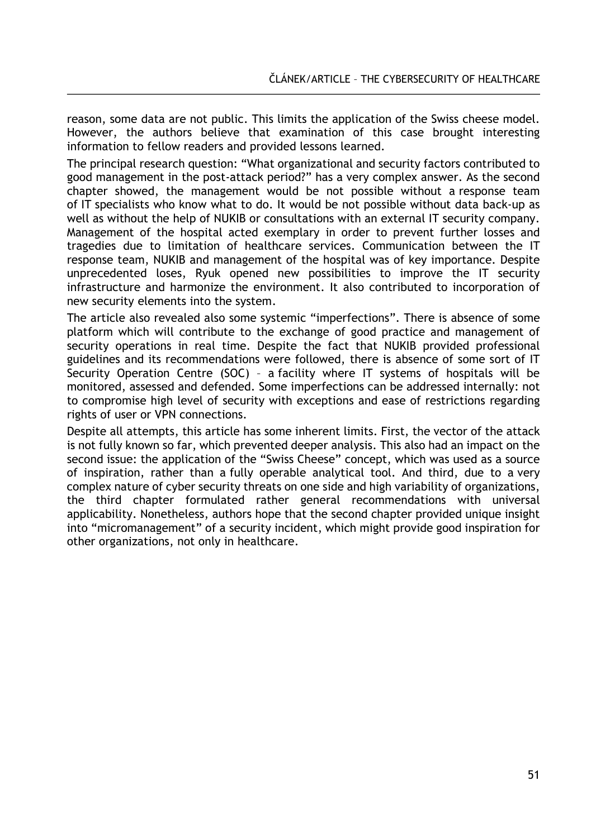reason, some data are not public. This limits the application of the Swiss cheese model. However, the authors believe that examination of this case brought interesting information to fellow readers and provided lessons learned.

The principal research question: "What organizational and security factors contributed to good management in the post-attack period?" has a very complex answer. As the second chapter showed, the management would be not possible without a response team of IT specialists who know what to do. It would be not possible without data back-up as well as without the help of NUKIB or consultations with an external IT security company. Management of the hospital acted exemplary in order to prevent further losses and tragedies due to limitation of healthcare services. Communication between the IT response team, NUKIB and management of the hospital was of key importance. Despite unprecedented loses, Ryuk opened new possibilities to improve the IT security infrastructure and harmonize the environment. It also contributed to incorporation of new security elements into the system.

The article also revealed also some systemic "imperfections". There is absence of some platform which will contribute to the exchange of good practice and management of security operations in real time. Despite the fact that NUKIB provided professional guidelines and its recommendations were followed, there is absence of some sort of IT Security Operation Centre (SOC) – a facility where IT systems of hospitals will be monitored, assessed and defended. Some imperfections can be addressed internally: not to compromise high level of security with exceptions and ease of restrictions regarding rights of user or VPN connections.

Despite all attempts, this article has some inherent limits. First, the vector of the attack is not fully known so far, which prevented deeper analysis. This also had an impact on the second issue: the application of the "Swiss Cheese" concept, which was used as a source of inspiration, rather than a fully operable analytical tool. And third, due to a very complex nature of cyber security threats on one side and high variability of organizations, the third chapter formulated rather general recommendations with universal applicability. Nonetheless, authors hope that the second chapter provided unique insight into "micromanagement" of a security incident, which might provide good inspiration for other organizations, not only in healthcare.